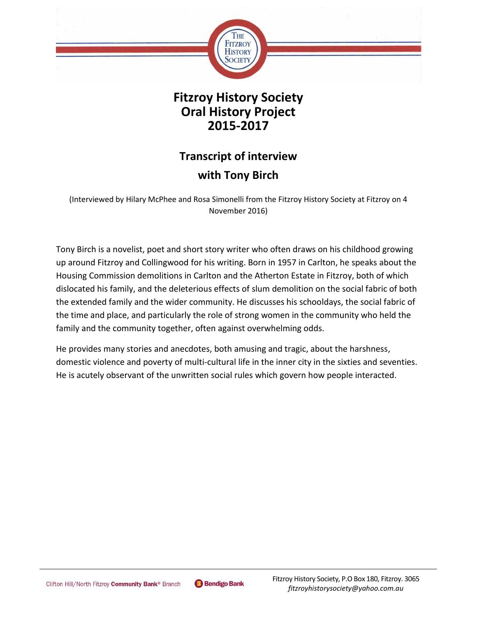

**Fitzroy History Society Oral History Project 2015-2017**

# **Transcript of interview with Tony Birch**

(Interviewed by Hilary McPhee and Rosa Simonelli from the Fitzroy History Society at Fitzroy on 4 November 2016)

Tony Birch is a novelist, poet and short story writer who often draws on his childhood growing up around Fitzroy and Collingwood for his writing. Born in 1957 in Carlton, he speaks about the Housing Commission demolitions in Carlton and the Atherton Estate in Fitzroy, both of which dislocated his family, and the deleterious effects of slum demolition on the social fabric of both the extended family and the wider community. He discusses his schooldays, the social fabric of the time and place, and particularly the role of strong women in the community who held the family and the community together, often against overwhelming odds.

He provides many stories and anecdotes, both amusing and tragic, about the harshness, domestic violence and poverty of multi-cultural life in the inner city in the sixties and seventies. He is acutely observant of the unwritten social rules which govern how people interacted.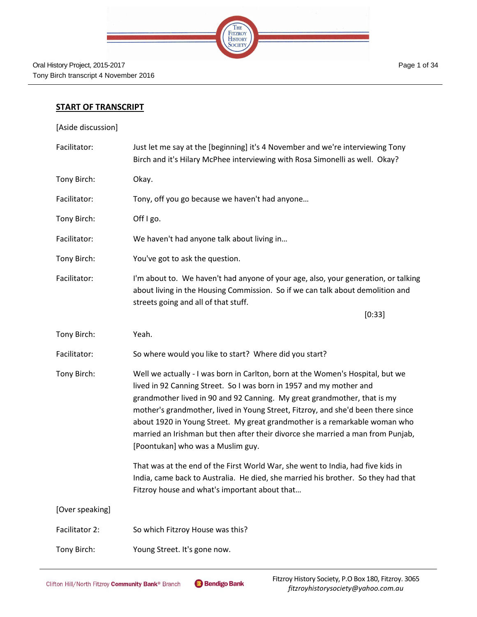

### **START OF TRANSCRIPT**

[Aside discussion]

| Facilitator:    | Just let me say at the [beginning] it's 4 November and we're interviewing Tony<br>Birch and it's Hilary McPhee interviewing with Rosa Simonelli as well. Okay?                                                                                                                                                                                                                                                                                                                                                              |
|-----------------|-----------------------------------------------------------------------------------------------------------------------------------------------------------------------------------------------------------------------------------------------------------------------------------------------------------------------------------------------------------------------------------------------------------------------------------------------------------------------------------------------------------------------------|
| Tony Birch:     | Okay.                                                                                                                                                                                                                                                                                                                                                                                                                                                                                                                       |
| Facilitator:    | Tony, off you go because we haven't had anyone                                                                                                                                                                                                                                                                                                                                                                                                                                                                              |
| Tony Birch:     | Off I go.                                                                                                                                                                                                                                                                                                                                                                                                                                                                                                                   |
| Facilitator:    | We haven't had anyone talk about living in                                                                                                                                                                                                                                                                                                                                                                                                                                                                                  |
| Tony Birch:     | You've got to ask the question.                                                                                                                                                                                                                                                                                                                                                                                                                                                                                             |
| Facilitator:    | I'm about to. We haven't had anyone of your age, also, your generation, or talking<br>about living in the Housing Commission. So if we can talk about demolition and<br>streets going and all of that stuff.                                                                                                                                                                                                                                                                                                                |
|                 | [0:33]                                                                                                                                                                                                                                                                                                                                                                                                                                                                                                                      |
| Tony Birch:     | Yeah.                                                                                                                                                                                                                                                                                                                                                                                                                                                                                                                       |
| Facilitator:    | So where would you like to start? Where did you start?                                                                                                                                                                                                                                                                                                                                                                                                                                                                      |
| Tony Birch:     | Well we actually - I was born in Carlton, born at the Women's Hospital, but we<br>lived in 92 Canning Street. So I was born in 1957 and my mother and<br>grandmother lived in 90 and 92 Canning. My great grandmother, that is my<br>mother's grandmother, lived in Young Street, Fitzroy, and she'd been there since<br>about 1920 in Young Street. My great grandmother is a remarkable woman who<br>married an Irishman but then after their divorce she married a man from Punjab,<br>[Poontukan] who was a Muslim guy. |
|                 | That was at the end of the First World War, she went to India, had five kids in<br>India, came back to Australia. He died, she married his brother. So they had that<br>Fitzroy house and what's important about that                                                                                                                                                                                                                                                                                                       |
| [Over speaking] |                                                                                                                                                                                                                                                                                                                                                                                                                                                                                                                             |
| Facilitator 2:  | So which Fitzroy House was this?                                                                                                                                                                                                                                                                                                                                                                                                                                                                                            |
| Tony Birch:     | Young Street. It's gone now.                                                                                                                                                                                                                                                                                                                                                                                                                                                                                                |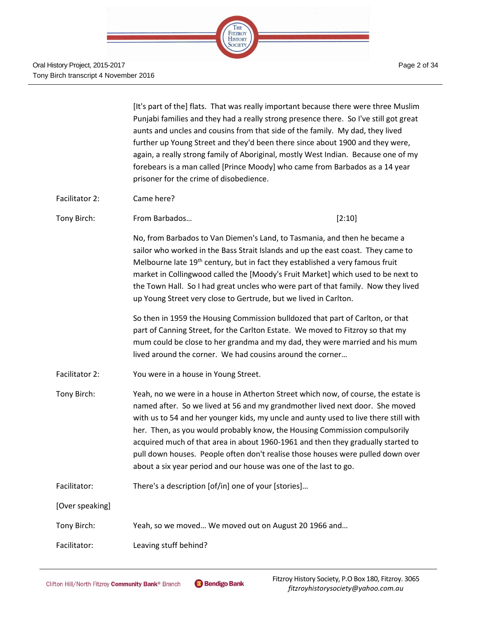

Oral History Project, 2015-2017 Tony Birch transcript 4 November 2016

|                 | [It's part of the] flats. That was really important because there were three Muslim<br>Punjabi families and they had a really strong presence there. So I've still got great<br>aunts and uncles and cousins from that side of the family. My dad, they lived<br>further up Young Street and they'd been there since about 1900 and they were,<br>again, a really strong family of Aboriginal, mostly West Indian. Because one of my<br>forebears is a man called [Prince Moody] who came from Barbados as a 14 year<br>prisoner for the crime of disobedience.                     |        |
|-----------------|-------------------------------------------------------------------------------------------------------------------------------------------------------------------------------------------------------------------------------------------------------------------------------------------------------------------------------------------------------------------------------------------------------------------------------------------------------------------------------------------------------------------------------------------------------------------------------------|--------|
| Facilitator 2:  | Came here?                                                                                                                                                                                                                                                                                                                                                                                                                                                                                                                                                                          |        |
| Tony Birch:     | From Barbados                                                                                                                                                                                                                                                                                                                                                                                                                                                                                                                                                                       | [2:10] |
|                 | No, from Barbados to Van Diemen's Land, to Tasmania, and then he became a<br>sailor who worked in the Bass Strait Islands and up the east coast. They came to<br>Melbourne late 19 <sup>th</sup> century, but in fact they established a very famous fruit<br>market in Collingwood called the [Moody's Fruit Market] which used to be next to<br>the Town Hall. So I had great uncles who were part of that family. Now they lived<br>up Young Street very close to Gertrude, but we lived in Carlton.                                                                             |        |
|                 | So then in 1959 the Housing Commission bulldozed that part of Carlton, or that<br>part of Canning Street, for the Carlton Estate. We moved to Fitzroy so that my<br>mum could be close to her grandma and my dad, they were married and his mum<br>lived around the corner. We had cousins around the corner                                                                                                                                                                                                                                                                        |        |
| Facilitator 2:  | You were in a house in Young Street.                                                                                                                                                                                                                                                                                                                                                                                                                                                                                                                                                |        |
| Tony Birch:     | Yeah, no we were in a house in Atherton Street which now, of course, the estate is<br>named after. So we lived at 56 and my grandmother lived next door. She moved<br>with us to 54 and her younger kids, my uncle and aunty used to live there still with<br>her. Then, as you would probably know, the Housing Commission compulsorily<br>acquired much of that area in about 1960-1961 and then they gradually started to<br>pull down houses. People often don't realise those houses were pulled down over<br>about a six year period and our house was one of the last to go. |        |
| Facilitator:    | There's a description [of/in] one of your [stories]                                                                                                                                                                                                                                                                                                                                                                                                                                                                                                                                 |        |
| [Over speaking] |                                                                                                                                                                                                                                                                                                                                                                                                                                                                                                                                                                                     |        |
| Tony Birch:     | Yeah, so we moved We moved out on August 20 1966 and                                                                                                                                                                                                                                                                                                                                                                                                                                                                                                                                |        |
| Facilitator:    | Leaving stuff behind?                                                                                                                                                                                                                                                                                                                                                                                                                                                                                                                                                               |        |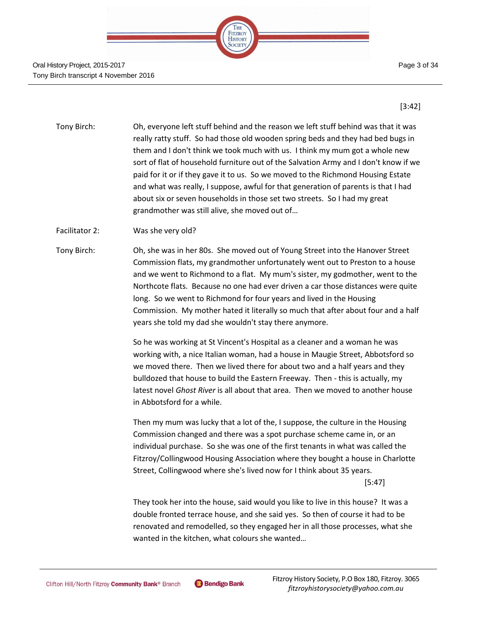

#### Oral History Project, 2015-2017 Tony Birch transcript 4 November 2016

[3:42]

- Tony Birch: Oh, everyone left stuff behind and the reason we left stuff behind was that it was really ratty stuff. So had those old wooden spring beds and they had bed bugs in them and I don't think we took much with us. I think my mum got a whole new sort of flat of household furniture out of the Salvation Army and I don't know if we paid for it or if they gave it to us. So we moved to the Richmond Housing Estate and what was really, I suppose, awful for that generation of parents is that I had about six or seven households in those set two streets. So I had my great grandmother was still alive, she moved out of…
- Facilitator 2: Was she very old?
- Tony Birch: Oh, she was in her 80s. She moved out of Young Street into the Hanover Street Commission flats, my grandmother unfortunately went out to Preston to a house and we went to Richmond to a flat. My mum's sister, my godmother, went to the Northcote flats. Because no one had ever driven a car those distances were quite long. So we went to Richmond for four years and lived in the Housing Commission. My mother hated it literally so much that after about four and a half years she told my dad she wouldn't stay there anymore.

So he was working at St Vincent's Hospital as a cleaner and a woman he was working with, a nice Italian woman, had a house in Maugie Street, Abbotsford so we moved there. Then we lived there for about two and a half years and they bulldozed that house to build the Eastern Freeway. Then - this is actually, my latest novel *Ghost River* is all about that area. Then we moved to another house in Abbotsford for a while.

Then my mum was lucky that a lot of the, I suppose, the culture in the Housing Commission changed and there was a spot purchase scheme came in, or an individual purchase. So she was one of the first tenants in what was called the Fitzroy/Collingwood Housing Association where they bought a house in Charlotte Street, Collingwood where she's lived now for I think about 35 years. [5:47]

They took her into the house, said would you like to live in this house? It was a double fronted terrace house, and she said yes. So then of course it had to be renovated and remodelled, so they engaged her in all those processes, what she wanted in the kitchen, what colours she wanted…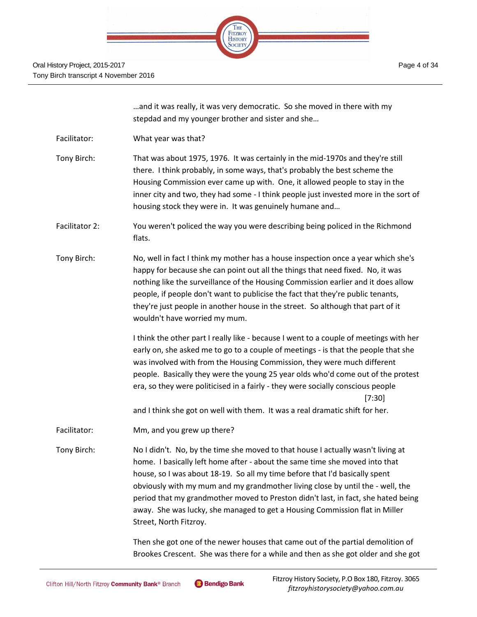|  | <b>THE</b>                       |  |  |
|--|----------------------------------|--|--|
|  | <b>FITZROY</b><br><b>HISTORY</b> |  |  |
|  | UU L                             |  |  |
|  |                                  |  |  |

|                | and it was really, it was very democratic. So she moved in there with my<br>stepdad and my younger brother and sister and she                                                                                                                                                                                                                                                                                                                                                                                                                                |
|----------------|--------------------------------------------------------------------------------------------------------------------------------------------------------------------------------------------------------------------------------------------------------------------------------------------------------------------------------------------------------------------------------------------------------------------------------------------------------------------------------------------------------------------------------------------------------------|
| Facilitator:   | What year was that?                                                                                                                                                                                                                                                                                                                                                                                                                                                                                                                                          |
| Tony Birch:    | That was about 1975, 1976. It was certainly in the mid-1970s and they're still<br>there. I think probably, in some ways, that's probably the best scheme the<br>Housing Commission ever came up with. One, it allowed people to stay in the<br>inner city and two, they had some - I think people just invested more in the sort of<br>housing stock they were in. It was genuinely humane and                                                                                                                                                               |
| Facilitator 2: | You weren't policed the way you were describing being policed in the Richmond<br>flats.                                                                                                                                                                                                                                                                                                                                                                                                                                                                      |
| Tony Birch:    | No, well in fact I think my mother has a house inspection once a year which she's<br>happy for because she can point out all the things that need fixed. No, it was<br>nothing like the surveillance of the Housing Commission earlier and it does allow<br>people, if people don't want to publicise the fact that they're public tenants,<br>they're just people in another house in the street. So although that part of it<br>wouldn't have worried my mum.                                                                                              |
|                | I think the other part I really like - because I went to a couple of meetings with her<br>early on, she asked me to go to a couple of meetings - is that the people that she<br>was involved with from the Housing Commission, they were much different<br>people. Basically they were the young 25 year olds who'd come out of the protest<br>era, so they were politicised in a fairly - they were socially conscious people<br>[7:30]                                                                                                                     |
| Facilitator:   | and I think she got on well with them. It was a real dramatic shift for her.                                                                                                                                                                                                                                                                                                                                                                                                                                                                                 |
| Tony Birch:    | Mm, and you grew up there?<br>No I didn't. No, by the time she moved to that house I actually wasn't living at<br>home. I basically left home after - about the same time she moved into that<br>house, so I was about 18-19. So all my time before that I'd basically spent<br>obviously with my mum and my grandmother living close by until the - well, the<br>period that my grandmother moved to Preston didn't last, in fact, she hated being<br>away. She was lucky, she managed to get a Housing Commission flat in Miller<br>Street, North Fitzroy. |
|                |                                                                                                                                                                                                                                                                                                                                                                                                                                                                                                                                                              |

Then she got one of the newer houses that came out of the partial demolition of Brookes Crescent. She was there for a while and then as she got older and she got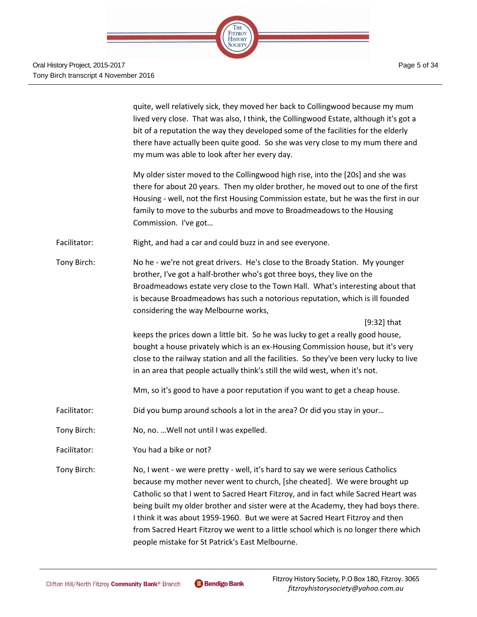

|              | quite, well relatively sick, they moved her back to Collingwood because my mum<br>lived very close. That was also, I think, the Collingwood Estate, although it's got a<br>bit of a reputation the way they developed some of the facilities for the elderly<br>there have actually been quite good. So she was very close to my mum there and<br>my mum was able to look after her every day.                                                                                                                                                                    |
|--------------|-------------------------------------------------------------------------------------------------------------------------------------------------------------------------------------------------------------------------------------------------------------------------------------------------------------------------------------------------------------------------------------------------------------------------------------------------------------------------------------------------------------------------------------------------------------------|
|              | My older sister moved to the Collingwood high rise, into the [20s] and she was<br>there for about 20 years. Then my older brother, he moved out to one of the first<br>Housing - well, not the first Housing Commission estate, but he was the first in our<br>family to move to the suburbs and move to Broadmeadows to the Housing<br>Commission. I've got                                                                                                                                                                                                      |
| Facilitator: | Right, and had a car and could buzz in and see everyone.                                                                                                                                                                                                                                                                                                                                                                                                                                                                                                          |
| Tony Birch:  | No he - we're not great drivers. He's close to the Broady Station. My younger<br>brother, I've got a half-brother who's got three boys, they live on the<br>Broadmeadows estate very close to the Town Hall. What's interesting about that<br>is because Broadmeadows has such a notorious reputation, which is ill founded<br>considering the way Melbourne works,                                                                                                                                                                                               |
|              | $[9:32]$ that<br>keeps the prices down a little bit. So he was lucky to get a really good house,<br>bought a house privately which is an ex-Housing Commission house, but it's very<br>close to the railway station and all the facilities. So they've been very lucky to live<br>in an area that people actually think's still the wild west, when it's not.                                                                                                                                                                                                     |
|              | Mm, so it's good to have a poor reputation if you want to get a cheap house.                                                                                                                                                                                                                                                                                                                                                                                                                                                                                      |
| Facilitator: | Did you bump around schools a lot in the area? Or did you stay in your                                                                                                                                                                                                                                                                                                                                                                                                                                                                                            |
| Tony Birch:  | No, no.  Well not until I was expelled.                                                                                                                                                                                                                                                                                                                                                                                                                                                                                                                           |
| Facilitator: | You had a bike or not?                                                                                                                                                                                                                                                                                                                                                                                                                                                                                                                                            |
| Tony Birch:  | No, I went - we were pretty - well, it's hard to say we were serious Catholics<br>because my mother never went to church, [she cheated]. We were brought up<br>Catholic so that I went to Sacred Heart Fitzroy, and in fact while Sacred Heart was<br>being built my older brother and sister were at the Academy, they had boys there.<br>I think it was about 1959-1960. But we were at Sacred Heart Fitzroy and then<br>from Sacred Heart Fitzroy we went to a little school which is no longer there which<br>people mistake for St Patrick's East Melbourne. |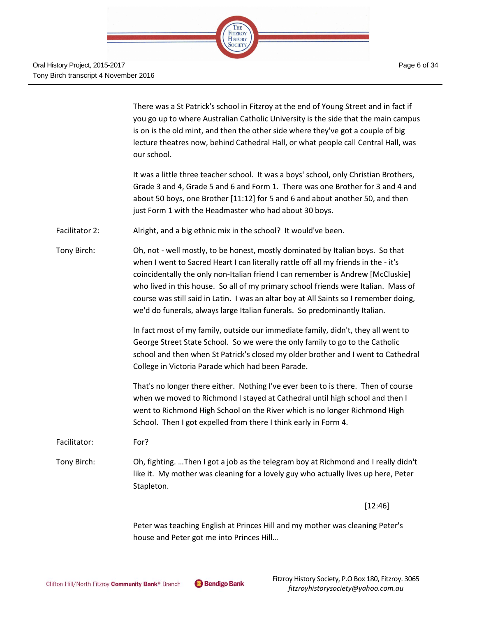

There was a St Patrick's school in Fitzroy at the end of Young Street and in fact if you go up to where Australian Catholic University is the side that the main campus is on is the old mint, and then the other side where they've got a couple of big lecture theatres now, behind Cathedral Hall, or what people call Central Hall, was our school.

It was a little three teacher school. It was a boys' school, only Christian Brothers, Grade 3 and 4, Grade 5 and 6 and Form 1. There was one Brother for 3 and 4 and about 50 boys, one Brother [11:12] for 5 and 6 and about another 50, and then just Form 1 with the Headmaster who had about 30 boys.

Facilitator 2: Alright, and a big ethnic mix in the school? It would've been.

Tony Birch: Oh, not - well mostly, to be honest, mostly dominated by Italian boys. So that when I went to Sacred Heart I can literally rattle off all my friends in the - it's coincidentally the only non-Italian friend I can remember is Andrew [McCluskie] who lived in this house. So all of my primary school friends were Italian. Mass of course was still said in Latin. I was an altar boy at All Saints so I remember doing, we'd do funerals, always large Italian funerals. So predominantly Italian.

> In fact most of my family, outside our immediate family, didn't, they all went to George Street State School. So we were the only family to go to the Catholic school and then when St Patrick's closed my older brother and I went to Cathedral College in Victoria Parade which had been Parade.

That's no longer there either. Nothing I've ever been to is there. Then of course when we moved to Richmond I stayed at Cathedral until high school and then I went to Richmond High School on the River which is no longer Richmond High School. Then I got expelled from there I think early in Form 4.

Facilitator: For?

Tony Birch: Oh, fighting. …Then I got a job as the telegram boy at Richmond and I really didn't like it. My mother was cleaning for a lovely guy who actually lives up here, Peter Stapleton.

[12:46]

Peter was teaching English at Princes Hill and my mother was cleaning Peter's house and Peter got me into Princes Hill…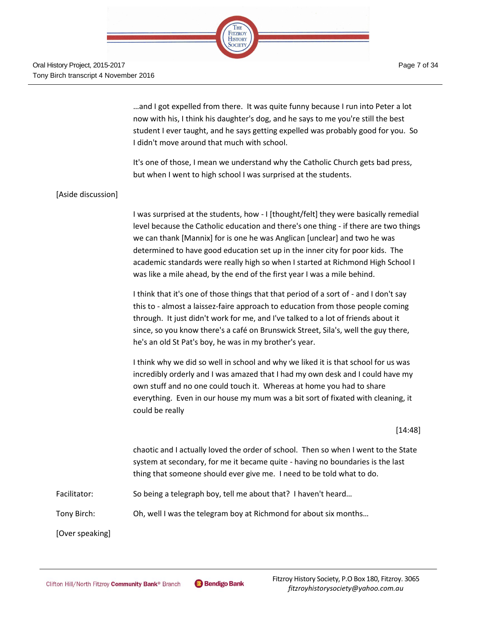

…and I got expelled from there. It was quite funny because I run into Peter a lot now with his, I think his daughter's dog, and he says to me you're still the best student I ever taught, and he says getting expelled was probably good for you. So I didn't move around that much with school.

It's one of those, I mean we understand why the Catholic Church gets bad press, but when I went to high school I was surprised at the students.

## [Aside discussion]

I was surprised at the students, how - I [thought/felt] they were basically remedial level because the Catholic education and there's one thing - if there are two things we can thank [Mannix] for is one he was Anglican [unclear] and two he was determined to have good education set up in the inner city for poor kids. The academic standards were really high so when I started at Richmond High School I was like a mile ahead, by the end of the first year I was a mile behind.

I think that it's one of those things that that period of a sort of - and I don't say this to - almost a laissez-faire approach to education from those people coming through. It just didn't work for me, and I've talked to a lot of friends about it since, so you know there's a café on Brunswick Street, Sila's, well the guy there, he's an old St Pat's boy, he was in my brother's year.

I think why we did so well in school and why we liked it is that school for us was incredibly orderly and I was amazed that I had my own desk and I could have my own stuff and no one could touch it. Whereas at home you had to share everything. Even in our house my mum was a bit sort of fixated with cleaning, it could be really

#### [14:48]

chaotic and I actually loved the order of school. Then so when I went to the State system at secondary, for me it became quite - having no boundaries is the last thing that someone should ever give me. I need to be told what to do.

Facilitator: So being a telegraph boy, tell me about that? I haven't heard...

Tony Birch: Oh, well I was the telegram boy at Richmond for about six months…

[Over speaking]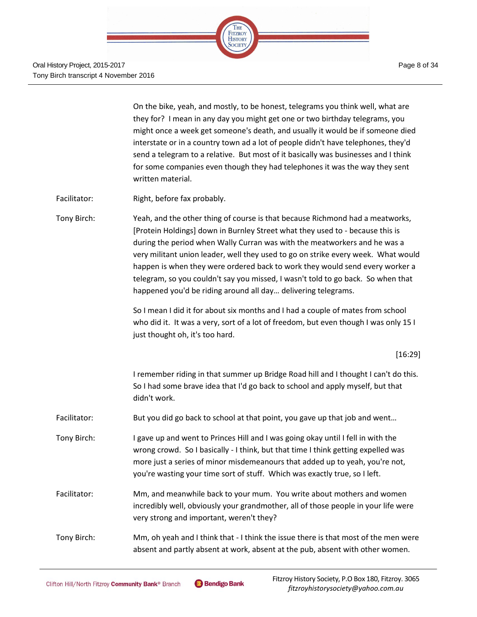

On the bike, yeah, and mostly, to be honest, telegrams you think well, what are they for? I mean in any day you might get one or two birthday telegrams, you might once a week get someone's death, and usually it would be if someone died interstate or in a country town ad a lot of people didn't have telephones, they'd send a telegram to a relative. But most of it basically was businesses and I think for some companies even though they had telephones it was the way they sent written material.

Facilitator: Right, before fax probably.

Tony Birch: Yeah, and the other thing of course is that because Richmond had a meatworks, [Protein Holdings] down in Burnley Street what they used to - because this is during the period when Wally Curran was with the meatworkers and he was a very militant union leader, well they used to go on strike every week. What would happen is when they were ordered back to work they would send every worker a telegram, so you couldn't say you missed, I wasn't told to go back. So when that happened you'd be riding around all day… delivering telegrams.

> So I mean I did it for about six months and I had a couple of mates from school who did it. It was a very, sort of a lot of freedom, but even though I was only 15 I just thought oh, it's too hard.

## [16:29]

I remember riding in that summer up Bridge Road hill and I thought I can't do this. So I had some brave idea that I'd go back to school and apply myself, but that didn't work.

Facilitator: But you did go back to school at that point, you gave up that job and went...

Tony Birch: I gave up and went to Princes Hill and I was going okay until I fell in with the wrong crowd. So I basically - I think, but that time I think getting expelled was more just a series of minor misdemeanours that added up to yeah, you're not, you're wasting your time sort of stuff. Which was exactly true, so I left.

Facilitator: Mm, and meanwhile back to your mum. You write about mothers and women incredibly well, obviously your grandmother, all of those people in your life were very strong and important, weren't they?

Tony Birch: Mm, oh yeah and I think that - I think the issue there is that most of the men were absent and partly absent at work, absent at the pub, absent with other women.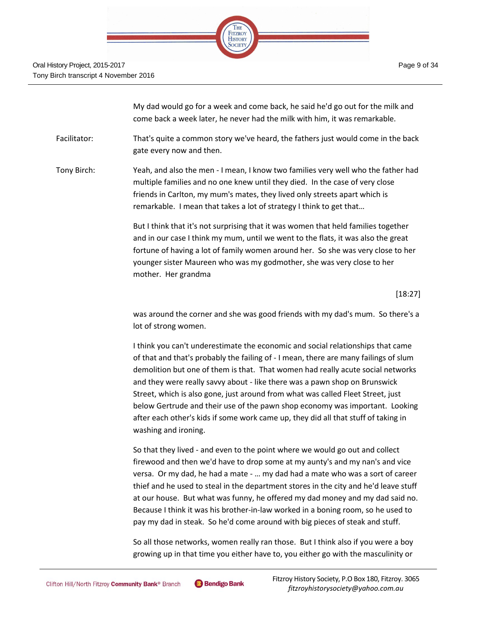

My dad would go for a week and come back, he said he'd go out for the milk and come back a week later, he never had the milk with him, it was remarkable.

Facilitator: That's quite a common story we've heard, the fathers just would come in the back gate every now and then.

Tony Birch: Yeah, and also the men - I mean, I know two families very well who the father had multiple families and no one knew until they died. In the case of very close friends in Carlton, my mum's mates, they lived only streets apart which is remarkable. I mean that takes a lot of strategy I think to get that…

> But I think that it's not surprising that it was women that held families together and in our case I think my mum, until we went to the flats, it was also the great fortune of having a lot of family women around her. So she was very close to her younger sister Maureen who was my godmother, she was very close to her mother. Her grandma

> > [18:27]

was around the corner and she was good friends with my dad's mum. So there's a lot of strong women.

I think you can't underestimate the economic and social relationships that came of that and that's probably the failing of - I mean, there are many failings of slum demolition but one of them is that. That women had really acute social networks and they were really savvy about - like there was a pawn shop on Brunswick Street, which is also gone, just around from what was called Fleet Street, just below Gertrude and their use of the pawn shop economy was important. Looking after each other's kids if some work came up, they did all that stuff of taking in washing and ironing.

So that they lived - and even to the point where we would go out and collect firewood and then we'd have to drop some at my aunty's and my nan's and vice versa. Or my dad, he had a mate - … my dad had a mate who was a sort of career thief and he used to steal in the department stores in the city and he'd leave stuff at our house. But what was funny, he offered my dad money and my dad said no. Because I think it was his brother-in-law worked in a boning room, so he used to pay my dad in steak. So he'd come around with big pieces of steak and stuff.

So all those networks, women really ran those. But I think also if you were a boy growing up in that time you either have to, you either go with the masculinity or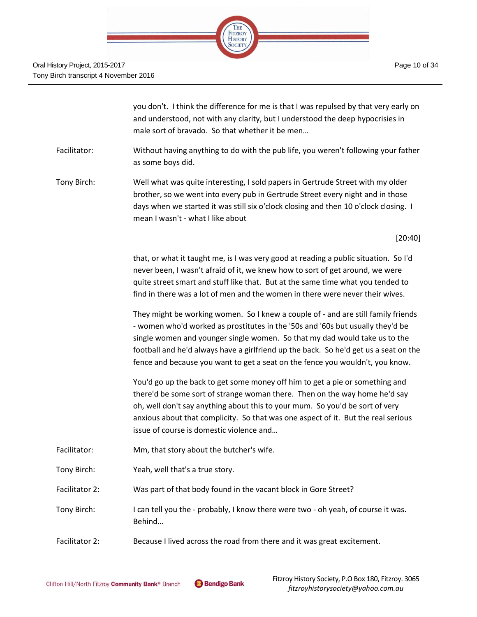

you don't. I think the difference for me is that I was repulsed by that very early on and understood, not with any clarity, but I understood the deep hypocrisies in male sort of bravado. So that whether it be men…

- Facilitator: Without having anything to do with the pub life, you weren't following your father as some boys did.
- Tony Birch: Well what was quite interesting, I sold papers in Gertrude Street with my older brother, so we went into every pub in Gertrude Street every night and in those days when we started it was still six o'clock closing and then 10 o'clock closing. I mean I wasn't - what I like about

[20:40]

that, or what it taught me, is I was very good at reading a public situation. So I'd never been, I wasn't afraid of it, we knew how to sort of get around, we were quite street smart and stuff like that. But at the same time what you tended to find in there was a lot of men and the women in there were never their wives.

They might be working women. So I knew a couple of - and are still family friends - women who'd worked as prostitutes in the '50s and '60s but usually they'd be single women and younger single women. So that my dad would take us to the football and he'd always have a girlfriend up the back. So he'd get us a seat on the fence and because you want to get a seat on the fence you wouldn't, you know.

You'd go up the back to get some money off him to get a pie or something and there'd be some sort of strange woman there. Then on the way home he'd say oh, well don't say anything about this to your mum. So you'd be sort of very anxious about that complicity. So that was one aspect of it. But the real serious issue of course is domestic violence and…

- Facilitator: Mm, that story about the butcher's wife.
- Tony Birch: Yeah, well that's a true story.
- Facilitator 2: Was part of that body found in the vacant block in Gore Street?

Tony Birch: I can tell you the - probably, I know there were two - oh yeah, of course it was. Behind…

Facilitator 2: Because I lived across the road from there and it was great excitement.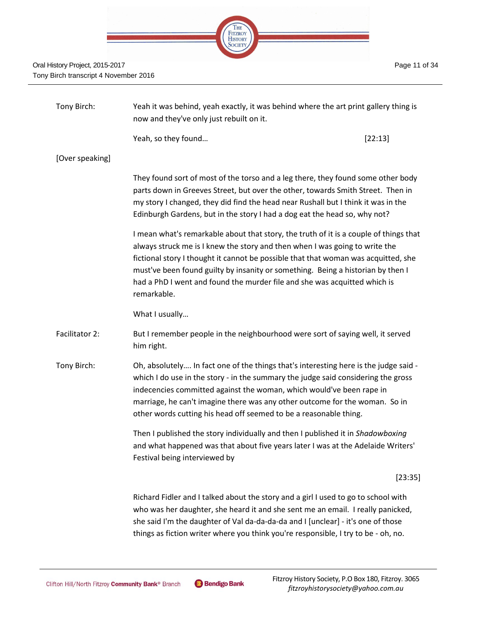| 1218.1 |  |                                      |  |  |
|--------|--|--------------------------------------|--|--|
|        |  |                                      |  |  |
|        |  | THE<br>FITZROY<br>HISTORY<br>SOCIETY |  |  |
|        |  |                                      |  |  |
|        |  |                                      |  |  |

| Tony Birch:     | Yeah it was behind, yeah exactly, it was behind where the art print gallery thing is<br>now and they've only just rebuilt on it.                                                                                                                                                                                                                                                                                                          |         |
|-----------------|-------------------------------------------------------------------------------------------------------------------------------------------------------------------------------------------------------------------------------------------------------------------------------------------------------------------------------------------------------------------------------------------------------------------------------------------|---------|
|                 | Yeah, so they found                                                                                                                                                                                                                                                                                                                                                                                                                       | [22:13] |
| [Over speaking] |                                                                                                                                                                                                                                                                                                                                                                                                                                           |         |
|                 | They found sort of most of the torso and a leg there, they found some other body<br>parts down in Greeves Street, but over the other, towards Smith Street. Then in<br>my story I changed, they did find the head near Rushall but I think it was in the<br>Edinburgh Gardens, but in the story I had a dog eat the head so, why not?                                                                                                     |         |
|                 | I mean what's remarkable about that story, the truth of it is a couple of things that<br>always struck me is I knew the story and then when I was going to write the<br>fictional story I thought it cannot be possible that that woman was acquitted, she<br>must've been found guilty by insanity or something. Being a historian by then I<br>had a PhD I went and found the murder file and she was acquitted which is<br>remarkable. |         |
|                 | What I usually                                                                                                                                                                                                                                                                                                                                                                                                                            |         |
| Facilitator 2:  | But I remember people in the neighbourhood were sort of saying well, it served<br>him right.                                                                                                                                                                                                                                                                                                                                              |         |
| Tony Birch:     | Oh, absolutely In fact one of the things that's interesting here is the judge said -<br>which I do use in the story - in the summary the judge said considering the gross<br>indecencies committed against the woman, which would've been rape in<br>marriage, he can't imagine there was any other outcome for the woman. So in<br>other words cutting his head off seemed to be a reasonable thing.                                     |         |
|                 | Then I published the story individually and then I published it in Shadowboxing<br>and what happened was that about five years later I was at the Adelaide Writers'<br>Festival being interviewed by                                                                                                                                                                                                                                      |         |
|                 |                                                                                                                                                                                                                                                                                                                                                                                                                                           | [23:35] |
|                 | Richard Fidler and I talked about the story and a girl I used to go to school with<br>who was her daughter, she heard it and she sent me an email. I really panicked,<br>she said I'm the daughter of Val da-da-da-da and I [unclear] - it's one of those                                                                                                                                                                                 |         |

things as fiction writer where you think you're responsible, I try to be - oh, no.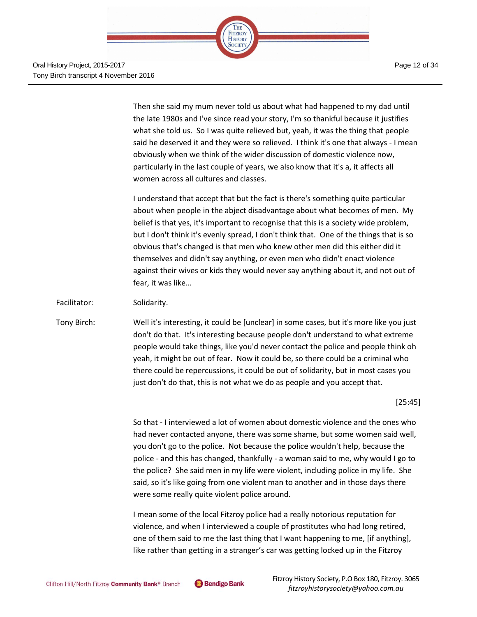

Then she said my mum never told us about what had happened to my dad until the late 1980s and I've since read your story, I'm so thankful because it justifies what she told us. So I was quite relieved but, yeah, it was the thing that people said he deserved it and they were so relieved. I think it's one that always - I mean obviously when we think of the wider discussion of domestic violence now, particularly in the last couple of years, we also know that it's a, it affects all women across all cultures and classes.

I understand that accept that but the fact is there's something quite particular about when people in the abject disadvantage about what becomes of men. My belief is that yes, it's important to recognise that this is a society wide problem, but I don't think it's evenly spread, I don't think that. One of the things that is so obvious that's changed is that men who knew other men did this either did it themselves and didn't say anything, or even men who didn't enact violence against their wives or kids they would never say anything about it, and not out of fear, it was like…

#### Facilitator: Solidarity.

Tony Birch: Well it's interesting, it could be [unclear] in some cases, but it's more like you just don't do that. It's interesting because people don't understand to what extreme people would take things, like you'd never contact the police and people think oh yeah, it might be out of fear. Now it could be, so there could be a criminal who there could be repercussions, it could be out of solidarity, but in most cases you just don't do that, this is not what we do as people and you accept that.

[25:45]

So that - I interviewed a lot of women about domestic violence and the ones who had never contacted anyone, there was some shame, but some women said well, you don't go to the police. Not because the police wouldn't help, because the police - and this has changed, thankfully - a woman said to me, why would I go to the police? She said men in my life were violent, including police in my life. She said, so it's like going from one violent man to another and in those days there were some really quite violent police around.

I mean some of the local Fitzroy police had a really notorious reputation for violence, and when I interviewed a couple of prostitutes who had long retired, one of them said to me the last thing that I want happening to me, [if anything], like rather than getting in a stranger's car was getting locked up in the Fitzroy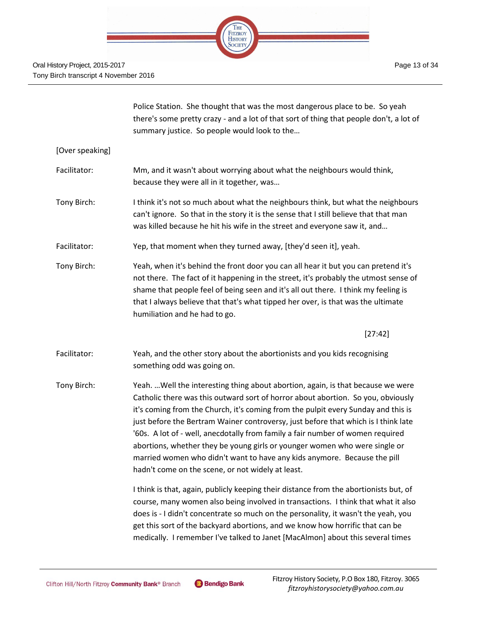

|                 | Police Station. She thought that was the most dangerous place to be. So yeah<br>there's some pretty crazy - and a lot of that sort of thing that people don't, a lot of<br>summary justice. So people would look to the                                                                                                                                                                                                                                                                                                                                                                                                                          |
|-----------------|--------------------------------------------------------------------------------------------------------------------------------------------------------------------------------------------------------------------------------------------------------------------------------------------------------------------------------------------------------------------------------------------------------------------------------------------------------------------------------------------------------------------------------------------------------------------------------------------------------------------------------------------------|
| [Over speaking] |                                                                                                                                                                                                                                                                                                                                                                                                                                                                                                                                                                                                                                                  |
| Facilitator:    | Mm, and it wasn't about worrying about what the neighbours would think,<br>because they were all in it together, was                                                                                                                                                                                                                                                                                                                                                                                                                                                                                                                             |
| Tony Birch:     | I think it's not so much about what the neighbours think, but what the neighbours<br>can't ignore. So that in the story it is the sense that I still believe that that man<br>was killed because he hit his wife in the street and everyone saw it, and                                                                                                                                                                                                                                                                                                                                                                                          |
| Facilitator:    | Yep, that moment when they turned away, [they'd seen it], yeah.                                                                                                                                                                                                                                                                                                                                                                                                                                                                                                                                                                                  |
| Tony Birch:     | Yeah, when it's behind the front door you can all hear it but you can pretend it's<br>not there. The fact of it happening in the street, it's probably the utmost sense of<br>shame that people feel of being seen and it's all out there. I think my feeling is<br>that I always believe that that's what tipped her over, is that was the ultimate<br>humiliation and he had to go.                                                                                                                                                                                                                                                            |
|                 | [27:42]                                                                                                                                                                                                                                                                                                                                                                                                                                                                                                                                                                                                                                          |
| Facilitator:    | Yeah, and the other story about the abortionists and you kids recognising<br>something odd was going on.                                                                                                                                                                                                                                                                                                                                                                                                                                                                                                                                         |
| Tony Birch:     | Yeah.  Well the interesting thing about abortion, again, is that because we were<br>Catholic there was this outward sort of horror about abortion. So you, obviously<br>it's coming from the Church, it's coming from the pulpit every Sunday and this is<br>just before the Bertram Wainer controversy, just before that which is I think late<br>'60s. A lot of - well, anecdotally from family a fair number of women required<br>abortions, whether they be young girls or younger women who were single or<br>married women who didn't want to have any kids anymore. Because the pill<br>hadn't come on the scene, or not widely at least. |
|                 | I think is that, again, publicly keeping their distance from the abortionists but, of<br>course, many women also being involved in transactions. I think that what it also<br>does is - I didn't concentrate so much on the personality, it wasn't the yeah, you<br>get this sort of the backyard abortions, and we know how horrific that can be<br>medically. I remember I've talked to Janet [MacAlmon] about this several times                                                                                                                                                                                                              |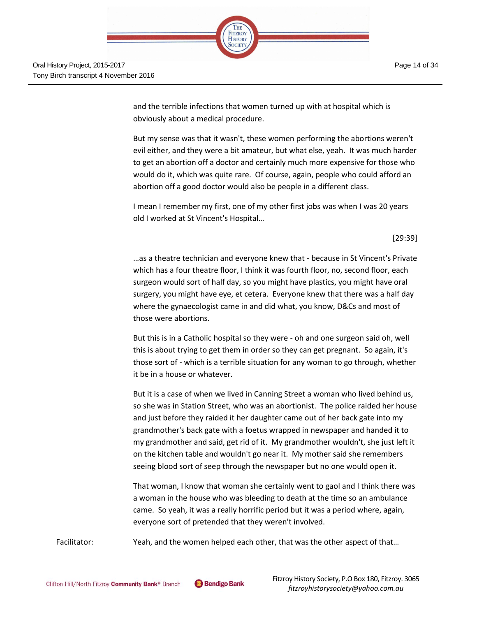

and the terrible infections that women turned up with at hospital which is obviously about a medical procedure.

But my sense was that it wasn't, these women performing the abortions weren't evil either, and they were a bit amateur, but what else, yeah. It was much harder to get an abortion off a doctor and certainly much more expensive for those who would do it, which was quite rare. Of course, again, people who could afford an abortion off a good doctor would also be people in a different class.

I mean I remember my first, one of my other first jobs was when I was 20 years old I worked at St Vincent's Hospital…

[29:39]

…as a theatre technician and everyone knew that - because in St Vincent's Private which has a four theatre floor, I think it was fourth floor, no, second floor, each surgeon would sort of half day, so you might have plastics, you might have oral surgery, you might have eye, et cetera. Everyone knew that there was a half day where the gynaecologist came in and did what, you know, D&Cs and most of those were abortions.

But this is in a Catholic hospital so they were - oh and one surgeon said oh, well this is about trying to get them in order so they can get pregnant. So again, it's those sort of - which is a terrible situation for any woman to go through, whether it be in a house or whatever.

But it is a case of when we lived in Canning Street a woman who lived behind us, so she was in Station Street, who was an abortionist. The police raided her house and just before they raided it her daughter came out of her back gate into my grandmother's back gate with a foetus wrapped in newspaper and handed it to my grandmother and said, get rid of it. My grandmother wouldn't, she just left it on the kitchen table and wouldn't go near it. My mother said she remembers seeing blood sort of seep through the newspaper but no one would open it.

That woman, I know that woman she certainly went to gaol and I think there was a woman in the house who was bleeding to death at the time so an ambulance came. So yeah, it was a really horrific period but it was a period where, again, everyone sort of pretended that they weren't involved.

Facilitator: Yeah, and the women helped each other, that was the other aspect of that...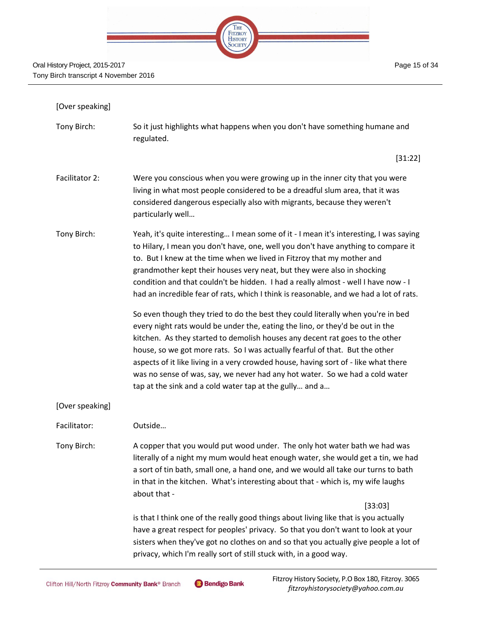

| [Over speaking] |                                                                                                                                                                                                                                                                                                                                                                                                                                                                                                                                                                     |
|-----------------|---------------------------------------------------------------------------------------------------------------------------------------------------------------------------------------------------------------------------------------------------------------------------------------------------------------------------------------------------------------------------------------------------------------------------------------------------------------------------------------------------------------------------------------------------------------------|
| Tony Birch:     | So it just highlights what happens when you don't have something humane and<br>regulated.                                                                                                                                                                                                                                                                                                                                                                                                                                                                           |
|                 | [31:22]                                                                                                                                                                                                                                                                                                                                                                                                                                                                                                                                                             |
| Facilitator 2:  | Were you conscious when you were growing up in the inner city that you were<br>living in what most people considered to be a dreadful slum area, that it was<br>considered dangerous especially also with migrants, because they weren't<br>particularly well                                                                                                                                                                                                                                                                                                       |
| Tony Birch:     | Yeah, it's quite interesting I mean some of it - I mean it's interesting, I was saying<br>to Hilary, I mean you don't have, one, well you don't have anything to compare it<br>to. But I knew at the time when we lived in Fitzroy that my mother and<br>grandmother kept their houses very neat, but they were also in shocking<br>condition and that couldn't be hidden. I had a really almost - well I have now - I<br>had an incredible fear of rats, which I think is reasonable, and we had a lot of rats.                                                    |
|                 | So even though they tried to do the best they could literally when you're in bed<br>every night rats would be under the, eating the lino, or they'd be out in the<br>kitchen. As they started to demolish houses any decent rat goes to the other<br>house, so we got more rats. So I was actually fearful of that. But the other<br>aspects of it like living in a very crowded house, having sort of - like what there<br>was no sense of was, say, we never had any hot water. So we had a cold water<br>tap at the sink and a cold water tap at the gully and a |
| [Over speaking] |                                                                                                                                                                                                                                                                                                                                                                                                                                                                                                                                                                     |
| Facilitator:    | Outside                                                                                                                                                                                                                                                                                                                                                                                                                                                                                                                                                             |
| Tony Birch:     | A copper that you would put wood under. The only hot water bath we had was<br>literally of a night my mum would heat enough water, she would get a tin, we had<br>a sort of tin bath, small one, a hand one, and we would all take our turns to bath<br>in that in the kitchen. What's interesting about that - which is, my wife laughs<br>about that -                                                                                                                                                                                                            |
|                 | [33:03]                                                                                                                                                                                                                                                                                                                                                                                                                                                                                                                                                             |
|                 | is that I think one of the really good things about living like that is you actually<br>have a great respect for peoples' privacy. So that you don't want to look at your<br>sisters when they've got no clothes on and so that you actually give people a lot of<br>privacy, which I'm really sort of still stuck with, in a good way.                                                                                                                                                                                                                             |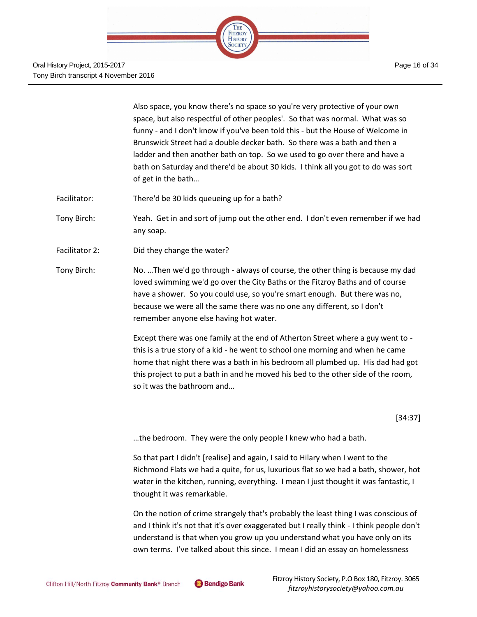

Also space, you know there's no space so you're very protective of your own space, but also respectful of other peoples'. So that was normal. What was so funny - and I don't know if you've been told this - but the House of Welcome in Brunswick Street had a double decker bath. So there was a bath and then a ladder and then another bath on top. So we used to go over there and have a bath on Saturday and there'd be about 30 kids. I think all you got to do was sort of get in the bath…

- Facilitator: There'd be 30 kids queueing up for a bath?
- Tony Birch: Yeah. Get in and sort of jump out the other end. I don't even remember if we had any soap.
- Facilitator 2: Did they change the water?
- Tony Birch: No. …Then we'd go through always of course, the other thing is because my dad loved swimming we'd go over the City Baths or the Fitzroy Baths and of course have a shower. So you could use, so you're smart enough. But there was no, because we were all the same there was no one any different, so I don't remember anyone else having hot water.

Except there was one family at the end of Atherton Street where a guy went to this is a true story of a kid - he went to school one morning and when he came home that night there was a bath in his bedroom all plumbed up. His dad had got this project to put a bath in and he moved his bed to the other side of the room, so it was the bathroom and…

[34:37]

…the bedroom. They were the only people I knew who had a bath.

So that part I didn't [realise] and again, I said to Hilary when I went to the Richmond Flats we had a quite, for us, luxurious flat so we had a bath, shower, hot water in the kitchen, running, everything. I mean I just thought it was fantastic, I thought it was remarkable.

On the notion of crime strangely that's probably the least thing I was conscious of and I think it's not that it's over exaggerated but I really think - I think people don't understand is that when you grow up you understand what you have only on its own terms. I've talked about this since. I mean I did an essay on homelessness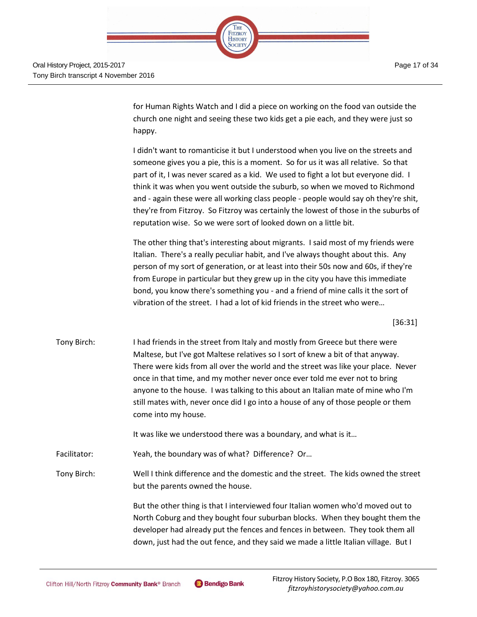

Page 17 of 34

for Human Rights Watch and I did a piece on working on the food van outside the church one night and seeing these two kids get a pie each, and they were just so happy.

I didn't want to romanticise it but I understood when you live on the streets and someone gives you a pie, this is a moment. So for us it was all relative. So that part of it, I was never scared as a kid. We used to fight a lot but everyone did. I think it was when you went outside the suburb, so when we moved to Richmond and - again these were all working class people - people would say oh they're shit, they're from Fitzroy. So Fitzroy was certainly the lowest of those in the suburbs of reputation wise. So we were sort of looked down on a little bit.

The other thing that's interesting about migrants. I said most of my friends were Italian. There's a really peculiar habit, and I've always thought about this. Any person of my sort of generation, or at least into their 50s now and 60s, if they're from Europe in particular but they grew up in the city you have this immediate bond, you know there's something you - and a friend of mine calls it the sort of vibration of the street. I had a lot of kid friends in the street who were…

[36:31]

Tony Birch: I had friends in the street from Italy and mostly from Greece but there were Maltese, but I've got Maltese relatives so I sort of knew a bit of that anyway. There were kids from all over the world and the street was like your place. Never once in that time, and my mother never once ever told me ever not to bring anyone to the house. I was talking to this about an Italian mate of mine who I'm still mates with, never once did I go into a house of any of those people or them come into my house.

It was like we understood there was a boundary, and what is it…

Facilitator: Yeah, the boundary was of what? Difference? Or…

Tony Birch: Well I think difference and the domestic and the street. The kids owned the street but the parents owned the house.

> But the other thing is that I interviewed four Italian women who'd moved out to North Coburg and they bought four suburban blocks. When they bought them the developer had already put the fences and fences in between. They took them all down, just had the out fence, and they said we made a little Italian village. But I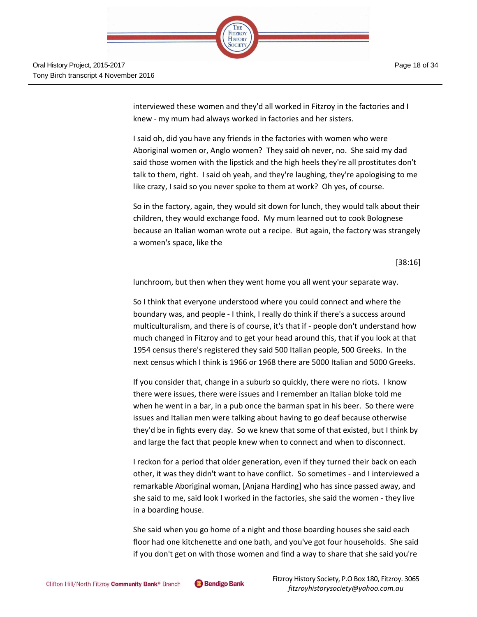

interviewed these women and they'd all worked in Fitzroy in the factories and I knew - my mum had always worked in factories and her sisters.

I said oh, did you have any friends in the factories with women who were Aboriginal women or, Anglo women? They said oh never, no. She said my dad said those women with the lipstick and the high heels they're all prostitutes don't talk to them, right. I said oh yeah, and they're laughing, they're apologising to me like crazy, I said so you never spoke to them at work? Oh yes, of course.

So in the factory, again, they would sit down for lunch, they would talk about their children, they would exchange food. My mum learned out to cook Bolognese because an Italian woman wrote out a recipe. But again, the factory was strangely a women's space, like the

[38:16]

lunchroom, but then when they went home you all went your separate way.

So I think that everyone understood where you could connect and where the boundary was, and people - I think, I really do think if there's a success around multiculturalism, and there is of course, it's that if - people don't understand how much changed in Fitzroy and to get your head around this, that if you look at that 1954 census there's registered they said 500 Italian people, 500 Greeks. In the next census which I think is 1966 or 1968 there are 5000 Italian and 5000 Greeks.

If you consider that, change in a suburb so quickly, there were no riots. I know there were issues, there were issues and I remember an Italian bloke told me when he went in a bar, in a pub once the barman spat in his beer. So there were issues and Italian men were talking about having to go deaf because otherwise they'd be in fights every day. So we knew that some of that existed, but I think by and large the fact that people knew when to connect and when to disconnect.

I reckon for a period that older generation, even if they turned their back on each other, it was they didn't want to have conflict. So sometimes - and I interviewed a remarkable Aboriginal woman, [Anjana Harding] who has since passed away, and she said to me, said look I worked in the factories, she said the women - they live in a boarding house.

She said when you go home of a night and those boarding houses she said each floor had one kitchenette and one bath, and you've got four households. She said if you don't get on with those women and find a way to share that she said you're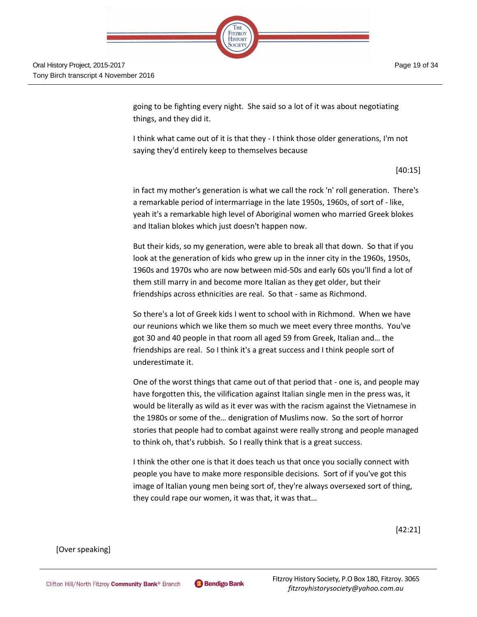

Oral History Project, 2015-2017 Tony Birch transcript 4 November 2016

> going to be fighting every night. She said so a lot of it was about negotiating things, and they did it.

I think what came out of it is that they - I think those older generations, I'm not saying they'd entirely keep to themselves because

[40:15]

in fact my mother's generation is what we call the rock 'n' roll generation. There's a remarkable period of intermarriage in the late 1950s, 1960s, of sort of - like, yeah it's a remarkable high level of Aboriginal women who married Greek blokes and Italian blokes which just doesn't happen now.

But their kids, so my generation, were able to break all that down. So that if you look at the generation of kids who grew up in the inner city in the 1960s, 1950s, 1960s and 1970s who are now between mid-50s and early 60s you'll find a lot of them still marry in and become more Italian as they get older, but their friendships across ethnicities are real. So that - same as Richmond.

So there's a lot of Greek kids I went to school with in Richmond. When we have our reunions which we like them so much we meet every three months. You've got 30 and 40 people in that room all aged 59 from Greek, Italian and… the friendships are real. So I think it's a great success and I think people sort of underestimate it.

One of the worst things that came out of that period that - one is, and people may have forgotten this, the vilification against Italian single men in the press was, it would be literally as wild as it ever was with the racism against the Vietnamese in the 1980s or some of the… denigration of Muslims now. So the sort of horror stories that people had to combat against were really strong and people managed to think oh, that's rubbish. So I really think that is a great success.

I think the other one is that it does teach us that once you socially connect with people you have to make more responsible decisions. Sort of if you've got this image of Italian young men being sort of, they're always oversexed sort of thing, they could rape our women, it was that, it was that…

[42:21]

[Over speaking]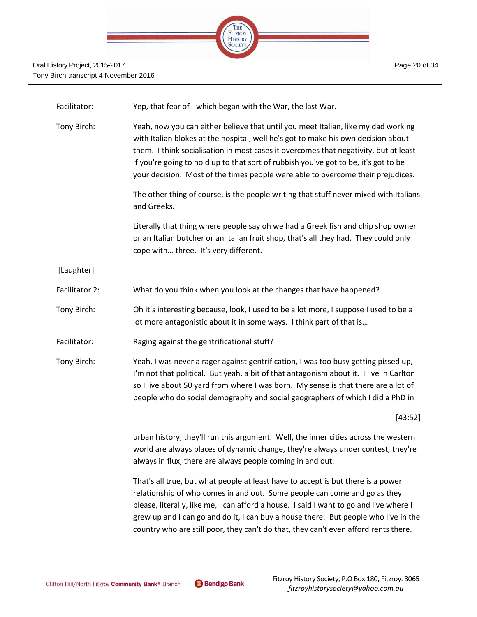

| Facilitator:   | Yep, that fear of - which began with the War, the last War.                                                                                                                                                                                                                                                                                                                                                                              |
|----------------|------------------------------------------------------------------------------------------------------------------------------------------------------------------------------------------------------------------------------------------------------------------------------------------------------------------------------------------------------------------------------------------------------------------------------------------|
| Tony Birch:    | Yeah, now you can either believe that until you meet Italian, like my dad working<br>with Italian blokes at the hospital, well he's got to make his own decision about<br>them. I think socialisation in most cases it overcomes that negativity, but at least<br>if you're going to hold up to that sort of rubbish you've got to be, it's got to be<br>your decision. Most of the times people were able to overcome their prejudices. |
|                | The other thing of course, is the people writing that stuff never mixed with Italians<br>and Greeks.                                                                                                                                                                                                                                                                                                                                     |
|                | Literally that thing where people say oh we had a Greek fish and chip shop owner<br>or an Italian butcher or an Italian fruit shop, that's all they had. They could only<br>cope with three. It's very different.                                                                                                                                                                                                                        |
| [Laughter]     |                                                                                                                                                                                                                                                                                                                                                                                                                                          |
| Facilitator 2: | What do you think when you look at the changes that have happened?                                                                                                                                                                                                                                                                                                                                                                       |
| Tony Birch:    | Oh it's interesting because, look, I used to be a lot more, I suppose I used to be a<br>lot more antagonistic about it in some ways. I think part of that is                                                                                                                                                                                                                                                                             |
| Facilitator:   | Raging against the gentrificational stuff?                                                                                                                                                                                                                                                                                                                                                                                               |
| Tony Birch:    | Yeah, I was never a rager against gentrification, I was too busy getting pissed up,<br>I'm not that political. But yeah, a bit of that antagonism about it. I live in Carlton<br>so I live about 50 yard from where I was born. My sense is that there are a lot of<br>people who do social demography and social geographers of which I did a PhD in                                                                                    |
|                | [43:52]                                                                                                                                                                                                                                                                                                                                                                                                                                  |
|                | urban history, they'll run this argument. Well, the inner cities across the western<br>world are always places of dynamic change, they're always under contest, they're<br>always in flux, there are always people coming in and out.                                                                                                                                                                                                    |
|                |                                                                                                                                                                                                                                                                                                                                                                                                                                          |

That's all true, but what people at least have to accept is but there is a power relationship of who comes in and out. Some people can come and go as they please, literally, like me, I can afford a house. I said I want to go and live where I grew up and I can go and do it, I can buy a house there. But people who live in the country who are still poor, they can't do that, they can't even afford rents there.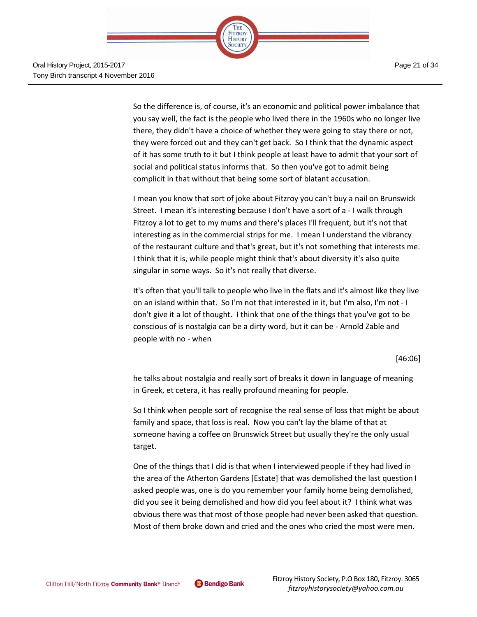Page 21 of 34



Oral History Project, 2015-2017 Tony Birch transcript 4 November 2016

> So the difference is, of course, it's an economic and political power imbalance that you say well, the fact is the people who lived there in the 1960s who no longer live there, they didn't have a choice of whether they were going to stay there or not, they were forced out and they can't get back. So I think that the dynamic aspect of it has some truth to it but I think people at least have to admit that your sort of social and political status informs that. So then you've got to admit being complicit in that without that being some sort of blatant accusation.

> I mean you know that sort of joke about Fitzroy you can't buy a nail on Brunswick Street. I mean it's interesting because I don't have a sort of a - I walk through Fitzroy a lot to get to my mums and there's places I'll frequent, but it's not that interesting as in the commercial strips for me. I mean I understand the vibrancy of the restaurant culture and that's great, but it's not something that interests me. I think that it is, while people might think that's about diversity it's also quite singular in some ways. So it's not really that diverse.

> It's often that you'll talk to people who live in the flats and it's almost like they live on an island within that. So I'm not that interested in it, but I'm also, I'm not - I don't give it a lot of thought. I think that one of the things that you've got to be conscious of is nostalgia can be a dirty word, but it can be - Arnold Zable and people with no - when

> > [46:06]

he talks about nostalgia and really sort of breaks it down in language of meaning in Greek, et cetera, it has really profound meaning for people.

So I think when people sort of recognise the real sense of loss that might be about family and space, that loss is real. Now you can't lay the blame of that at someone having a coffee on Brunswick Street but usually they're the only usual target.

One of the things that I did is that when I interviewed people if they had lived in the area of the Atherton Gardens [Estate] that was demolished the last question I asked people was, one is do you remember your family home being demolished, did you see it being demolished and how did you feel about it? I think what was obvious there was that most of those people had never been asked that question. Most of them broke down and cried and the ones who cried the most were men.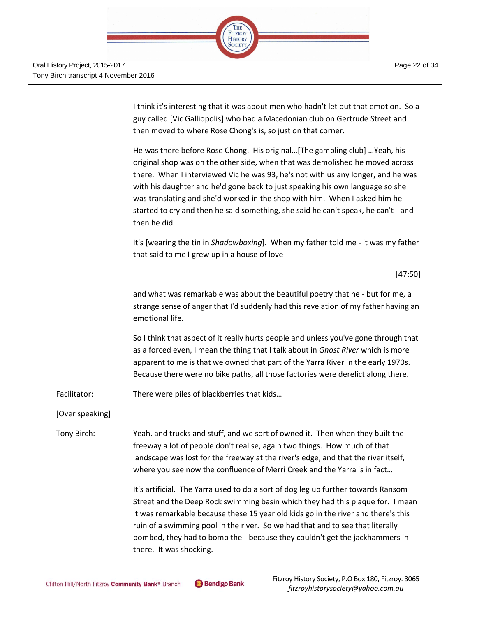

I think it's interesting that it was about men who hadn't let out that emotion. So a guy called [Vic Galliopolis] who had a Macedonian club on Gertrude Street and then moved to where Rose Chong's is, so just on that corner.

He was there before Rose Chong. His original…[The gambling club] …Yeah, his original shop was on the other side, when that was demolished he moved across there. When I interviewed Vic he was 93, he's not with us any longer, and he was with his daughter and he'd gone back to just speaking his own language so she was translating and she'd worked in the shop with him. When I asked him he started to cry and then he said something, she said he can't speak, he can't - and then he did.

It's [wearing the tin in *Shadowboxing*]. When my father told me - it was my father that said to me I grew up in a house of love

[47:50]

and what was remarkable was about the beautiful poetry that he - but for me, a strange sense of anger that I'd suddenly had this revelation of my father having an emotional life.

So I think that aspect of it really hurts people and unless you've gone through that as a forced even, I mean the thing that I talk about in *Ghost River* which is more apparent to me is that we owned that part of the Yarra River in the early 1970s. Because there were no bike paths, all those factories were derelict along there.

Facilitator: There were piles of blackberries that kids...

[Over speaking]

Tony Birch: Yeah, and trucks and stuff, and we sort of owned it. Then when they built the freeway a lot of people don't realise, again two things. How much of that landscape was lost for the freeway at the river's edge, and that the river itself, where you see now the confluence of Merri Creek and the Yarra is in fact…

> It's artificial. The Yarra used to do a sort of dog leg up further towards Ransom Street and the Deep Rock swimming basin which they had this plaque for. I mean it was remarkable because these 15 year old kids go in the river and there's this ruin of a swimming pool in the river. So we had that and to see that literally bombed, they had to bomb the - because they couldn't get the jackhammers in there. It was shocking.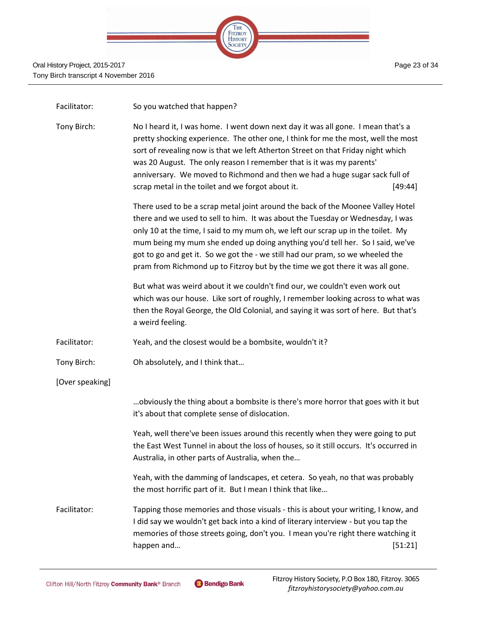

| Facilitator:    | So you watched that happen?                                                                                                                                                                                                                                                                                                                                                                                                                                                                                |         |
|-----------------|------------------------------------------------------------------------------------------------------------------------------------------------------------------------------------------------------------------------------------------------------------------------------------------------------------------------------------------------------------------------------------------------------------------------------------------------------------------------------------------------------------|---------|
| Tony Birch:     | No I heard it, I was home. I went down next day it was all gone. I mean that's a<br>pretty shocking experience. The other one, I think for me the most, well the most<br>sort of revealing now is that we left Atherton Street on that Friday night which<br>was 20 August. The only reason I remember that is it was my parents'<br>anniversary. We moved to Richmond and then we had a huge sugar sack full of<br>scrap metal in the toilet and we forgot about it.<br>[49:44]                           |         |
|                 | There used to be a scrap metal joint around the back of the Moonee Valley Hotel<br>there and we used to sell to him. It was about the Tuesday or Wednesday, I was<br>only 10 at the time, I said to my mum oh, we left our scrap up in the toilet. My<br>mum being my mum she ended up doing anything you'd tell her. So I said, we've<br>got to go and get it. So we got the - we still had our pram, so we wheeled the<br>pram from Richmond up to Fitzroy but by the time we got there it was all gone. |         |
|                 | But what was weird about it we couldn't find our, we couldn't even work out<br>which was our house. Like sort of roughly, I remember looking across to what was<br>then the Royal George, the Old Colonial, and saying it was sort of here. But that's<br>a weird feeling.                                                                                                                                                                                                                                 |         |
| Facilitator:    | Yeah, and the closest would be a bombsite, wouldn't it?                                                                                                                                                                                                                                                                                                                                                                                                                                                    |         |
| Tony Birch:     | Oh absolutely, and I think that                                                                                                                                                                                                                                                                                                                                                                                                                                                                            |         |
| [Over speaking] |                                                                                                                                                                                                                                                                                                                                                                                                                                                                                                            |         |
|                 | obviously the thing about a bombsite is there's more horror that goes with it but<br>it's about that complete sense of dislocation.                                                                                                                                                                                                                                                                                                                                                                        |         |
|                 | Yeah, well there've been issues around this recently when they were going to put<br>the East West Tunnel in about the loss of houses, so it still occurs. It's occurred in<br>Australia, in other parts of Australia, when the                                                                                                                                                                                                                                                                             |         |
|                 | Yeah, with the damming of landscapes, et cetera. So yeah, no that was probably<br>the most horrific part of it. But I mean I think that like                                                                                                                                                                                                                                                                                                                                                               |         |
| Facilitator:    | Tapping those memories and those visuals - this is about your writing, I know, and<br>I did say we wouldn't get back into a kind of literary interview - but you tap the<br>memories of those streets going, don't you. I mean you're right there watching it<br>happen and                                                                                                                                                                                                                                | [51:21] |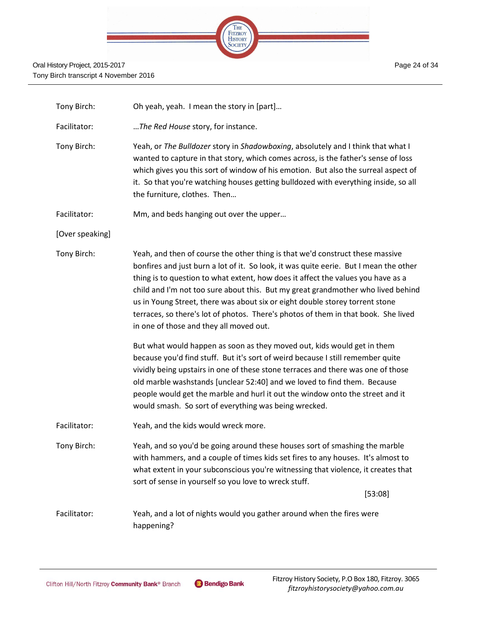

| Tony Birch:     | Oh yeah, yeah. I mean the story in [part]                                                                                                                                                                                                                                                                                                                                                                                                                                                                                                                                                                                                                                                                                                                                                                                                                                                                                                                                                                                               |
|-----------------|-----------------------------------------------------------------------------------------------------------------------------------------------------------------------------------------------------------------------------------------------------------------------------------------------------------------------------------------------------------------------------------------------------------------------------------------------------------------------------------------------------------------------------------------------------------------------------------------------------------------------------------------------------------------------------------------------------------------------------------------------------------------------------------------------------------------------------------------------------------------------------------------------------------------------------------------------------------------------------------------------------------------------------------------|
| Facilitator:    | The Red House story, for instance.                                                                                                                                                                                                                                                                                                                                                                                                                                                                                                                                                                                                                                                                                                                                                                                                                                                                                                                                                                                                      |
| Tony Birch:     | Yeah, or The Bulldozer story in Shadowboxing, absolutely and I think that what I<br>wanted to capture in that story, which comes across, is the father's sense of loss<br>which gives you this sort of window of his emotion. But also the surreal aspect of<br>it. So that you're watching houses getting bulldozed with everything inside, so all<br>the furniture, clothes. Then                                                                                                                                                                                                                                                                                                                                                                                                                                                                                                                                                                                                                                                     |
| Facilitator:    | Mm, and beds hanging out over the upper                                                                                                                                                                                                                                                                                                                                                                                                                                                                                                                                                                                                                                                                                                                                                                                                                                                                                                                                                                                                 |
| [Over speaking] |                                                                                                                                                                                                                                                                                                                                                                                                                                                                                                                                                                                                                                                                                                                                                                                                                                                                                                                                                                                                                                         |
| Tony Birch:     | Yeah, and then of course the other thing is that we'd construct these massive<br>bonfires and just burn a lot of it. So look, it was quite eerie. But I mean the other<br>thing is to question to what extent, how does it affect the values you have as a<br>child and I'm not too sure about this. But my great grandmother who lived behind<br>us in Young Street, there was about six or eight double storey torrent stone<br>terraces, so there's lot of photos. There's photos of them in that book. She lived<br>in one of those and they all moved out.<br>But what would happen as soon as they moved out, kids would get in them<br>because you'd find stuff. But it's sort of weird because I still remember quite<br>vividly being upstairs in one of these stone terraces and there was one of those<br>old marble washstands [unclear 52:40] and we loved to find them. Because<br>people would get the marble and hurl it out the window onto the street and it<br>would smash. So sort of everything was being wrecked. |
| Facilitator:    | Yeah, and the kids would wreck more.                                                                                                                                                                                                                                                                                                                                                                                                                                                                                                                                                                                                                                                                                                                                                                                                                                                                                                                                                                                                    |
| Tony Birch:     | Yeah, and so you'd be going around these houses sort of smashing the marble<br>with hammers, and a couple of times kids set fires to any houses. It's almost to<br>what extent in your subconscious you're witnessing that violence, it creates that<br>sort of sense in yourself so you love to wreck stuff.<br>[53:08]                                                                                                                                                                                                                                                                                                                                                                                                                                                                                                                                                                                                                                                                                                                |
| Facilitator:    | Yeah, and a lot of nights would you gather around when the fires were<br>happening?                                                                                                                                                                                                                                                                                                                                                                                                                                                                                                                                                                                                                                                                                                                                                                                                                                                                                                                                                     |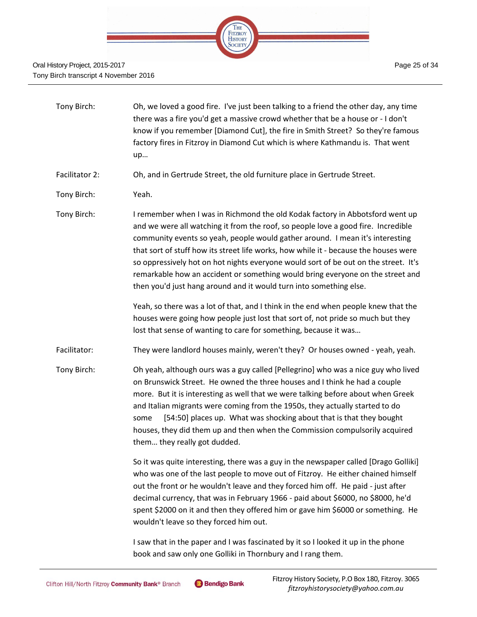

#### Oral History Project, 2015-2017 Tony Birch transcript 4 November 2016

| Tony Birch: | Oh, we loved a good fire. I've just been talking to a friend the other day, any time |
|-------------|--------------------------------------------------------------------------------------|
|             | there was a fire you'd get a massive crowd whether that be a house or - I don't      |
|             | know if you remember [Diamond Cut], the fire in Smith Street? So they're famous      |
|             | factory fires in Fitzroy in Diamond Cut which is where Kathmandu is. That went       |
|             | up                                                                                   |

Facilitator 2: Oh, and in Gertrude Street, the old furniture place in Gertrude Street.

Tony Birch: Yeah.

Tony Birch: I remember when I was in Richmond the old Kodak factory in Abbotsford went up and we were all watching it from the roof, so people love a good fire. Incredible community events so yeah, people would gather around. I mean it's interesting that sort of stuff how its street life works, how while it - because the houses were so oppressively hot on hot nights everyone would sort of be out on the street. It's remarkable how an accident or something would bring everyone on the street and then you'd just hang around and it would turn into something else.

> Yeah, so there was a lot of that, and I think in the end when people knew that the houses were going how people just lost that sort of, not pride so much but they lost that sense of wanting to care for something, because it was…

Facilitator: They were landlord houses mainly, weren't they? Or houses owned - yeah, yeah.

Tony Birch: Oh yeah, although ours was a guy called [Pellegrino] who was a nice guy who lived on Brunswick Street. He owned the three houses and I think he had a couple more. But it is interesting as well that we were talking before about when Greek and Italian migrants were coming from the 1950s, they actually started to do some [54:50] places up. What was shocking about that is that they bought houses, they did them up and then when the Commission compulsorily acquired them… they really got dudded.

> So it was quite interesting, there was a guy in the newspaper called [Drago Golliki] who was one of the last people to move out of Fitzroy. He either chained himself out the front or he wouldn't leave and they forced him off. He paid - just after decimal currency, that was in February 1966 - paid about \$6000, no \$8000, he'd spent \$2000 on it and then they offered him or gave him \$6000 or something. He wouldn't leave so they forced him out.

I saw that in the paper and I was fascinated by it so I looked it up in the phone book and saw only one Golliki in Thornbury and I rang them.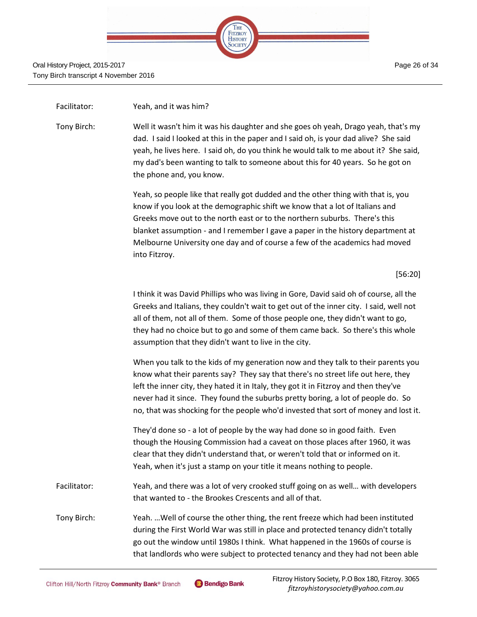

### Facilitator: Yeah, and it was him?

Tony Birch: Well it wasn't him it was his daughter and she goes oh yeah, Drago yeah, that's my dad. I said I looked at this in the paper and I said oh, is your dad alive? She said yeah, he lives here. I said oh, do you think he would talk to me about it? She said, my dad's been wanting to talk to someone about this for 40 years. So he got on the phone and, you know.

> Yeah, so people like that really got dudded and the other thing with that is, you know if you look at the demographic shift we know that a lot of Italians and Greeks move out to the north east or to the northern suburbs. There's this blanket assumption - and I remember I gave a paper in the history department at Melbourne University one day and of course a few of the academics had moved into Fitzroy.

> > [56:20]

I think it was David Phillips who was living in Gore, David said oh of course, all the Greeks and Italians, they couldn't wait to get out of the inner city. I said, well not all of them, not all of them. Some of those people one, they didn't want to go, they had no choice but to go and some of them came back. So there's this whole assumption that they didn't want to live in the city.

When you talk to the kids of my generation now and they talk to their parents you know what their parents say? They say that there's no street life out here, they left the inner city, they hated it in Italy, they got it in Fitzroy and then they've never had it since. They found the suburbs pretty boring, a lot of people do. So no, that was shocking for the people who'd invested that sort of money and lost it.

They'd done so - a lot of people by the way had done so in good faith. Even though the Housing Commission had a caveat on those places after 1960, it was clear that they didn't understand that, or weren't told that or informed on it. Yeah, when it's just a stamp on your title it means nothing to people.

- Facilitator: Yeah, and there was a lot of very crooked stuff going on as well... with developers that wanted to - the Brookes Crescents and all of that.
- Tony Birch: Yeah. …Well of course the other thing, the rent freeze which had been instituted during the First World War was still in place and protected tenancy didn't totally go out the window until 1980s I think. What happened in the 1960s of course is that landlords who were subject to protected tenancy and they had not been able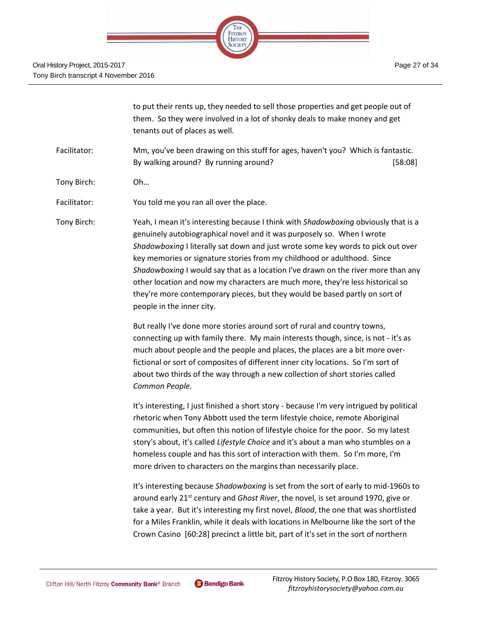

|              | to put their rents up, they needed to sell those properties and get people out of<br>them. So they were involved in a lot of shonky deals to make money and get<br>tenants out of places as well.                                                                                                                                                                                                                                                                                                                                                                                                               |
|--------------|-----------------------------------------------------------------------------------------------------------------------------------------------------------------------------------------------------------------------------------------------------------------------------------------------------------------------------------------------------------------------------------------------------------------------------------------------------------------------------------------------------------------------------------------------------------------------------------------------------------------|
| Facilitator: | Mm, you've been drawing on this stuff for ages, haven't you? Which is fantastic.<br>By walking around? By running around?<br>[58:08]                                                                                                                                                                                                                                                                                                                                                                                                                                                                            |
| Tony Birch:  | Oh                                                                                                                                                                                                                                                                                                                                                                                                                                                                                                                                                                                                              |
| Facilitator: | You told me you ran all over the place.                                                                                                                                                                                                                                                                                                                                                                                                                                                                                                                                                                         |
| Tony Birch:  | Yeah, I mean it's interesting because I think with Shadowboxing obviously that is a<br>genuinely autobiographical novel and it was purposely so. When I wrote<br>Shadowboxing I literally sat down and just wrote some key words to pick out over<br>key memories or signature stories from my childhood or adulthood. Since<br>Shadowboxing I would say that as a location I've drawn on the river more than any<br>other location and now my characters are much more, they're less historical so<br>they're more contemporary pieces, but they would be based partly on sort of<br>people in the inner city. |
|              | But really I've done more stories around sort of rural and country towns,<br>connecting up with family there. My main interests though, since, is not - it's as<br>much about people and the people and places, the places are a bit more over-<br>fictional or sort of composites of different inner city locations. So I'm sort of<br>about two thirds of the way through a new collection of short stories called<br>Common People.                                                                                                                                                                          |
|              | It's interesting, I just finished a short story - because I'm very intrigued by political<br>rhetoric when Tony Abbott used the term lifestyle choice, remote Aboriginal<br>communities, but often this notion of lifestyle choice for the poor. So my latest<br>story's about, it's called Lifestyle Choice and it's about a man who stumbles on a<br>homeless couple and has this sort of interaction with them. So I'm more, I'm<br>more driven to characters on the margins than necessarily place.                                                                                                         |
|              | It's interesting because Shadowboxing is set from the sort of early to mid-1960s to<br>around early 21 <sup>st</sup> century and Ghost River, the novel, is set around 1970, give or<br>take a year. But it's interesting my first novel, Blood, the one that was shortlisted<br>for a Miles Franklin, while it deals with locations in Melbourne like the sort of the<br>Crown Casino [60:28] precinct a little bit, part of it's set in the sort of northern                                                                                                                                                  |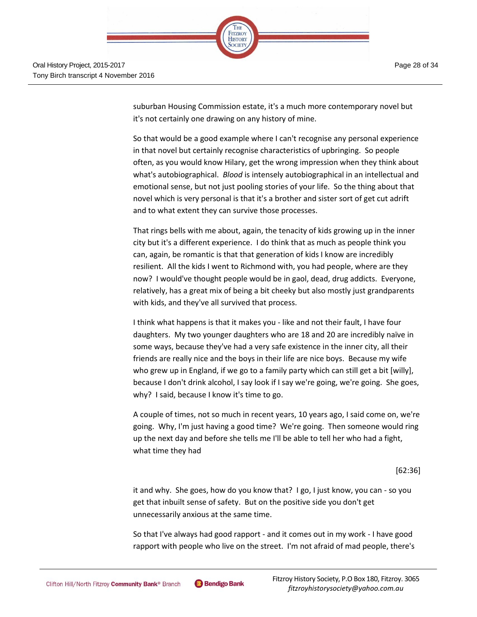

suburban Housing Commission estate, it's a much more contemporary novel but it's not certainly one drawing on any history of mine.

So that would be a good example where I can't recognise any personal experience in that novel but certainly recognise characteristics of upbringing. So people often, as you would know Hilary, get the wrong impression when they think about what's autobiographical. *Blood* is intensely autobiographical in an intellectual and emotional sense, but not just pooling stories of your life. So the thing about that novel which is very personal is that it's a brother and sister sort of get cut adrift and to what extent they can survive those processes.

That rings bells with me about, again, the tenacity of kids growing up in the inner city but it's a different experience. I do think that as much as people think you can, again, be romantic is that that generation of kids I know are incredibly resilient. All the kids I went to Richmond with, you had people, where are they now? I would've thought people would be in gaol, dead, drug addicts. Everyone, relatively, has a great mix of being a bit cheeky but also mostly just grandparents with kids, and they've all survived that process.

I think what happens is that it makes you - like and not their fault, I have four daughters. My two younger daughters who are 18 and 20 are incredibly naïve in some ways, because they've had a very safe existence in the inner city, all their friends are really nice and the boys in their life are nice boys. Because my wife who grew up in England, if we go to a family party which can still get a bit [willy], because I don't drink alcohol, I say look if I say we're going, we're going. She goes, why? I said, because I know it's time to go.

A couple of times, not so much in recent years, 10 years ago, I said come on, we're going. Why, I'm just having a good time? We're going. Then someone would ring up the next day and before she tells me I'll be able to tell her who had a fight, what time they had

[62:36]

it and why. She goes, how do you know that? I go, I just know, you can - so you get that inbuilt sense of safety. But on the positive side you don't get unnecessarily anxious at the same time.

So that I've always had good rapport - and it comes out in my work - I have good rapport with people who live on the street. I'm not afraid of mad people, there's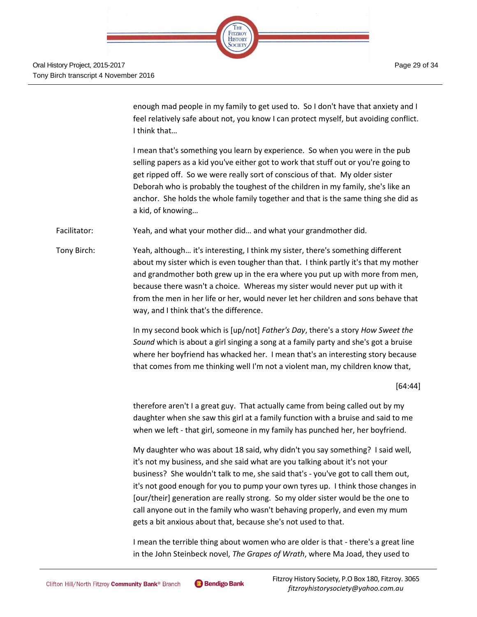

enough mad people in my family to get used to. So I don't have that anxiety and I feel relatively safe about not, you know I can protect myself, but avoiding conflict. I think that…

I mean that's something you learn by experience. So when you were in the pub selling papers as a kid you've either got to work that stuff out or you're going to get ripped off. So we were really sort of conscious of that. My older sister Deborah who is probably the toughest of the children in my family, she's like an anchor. She holds the whole family together and that is the same thing she did as a kid, of knowing…

Facilitator: Yeah, and what your mother did... and what your grandmother did.

Tony Birch: Yeah, although… it's interesting, I think my sister, there's something different about my sister which is even tougher than that. I think partly it's that my mother and grandmother both grew up in the era where you put up with more from men, because there wasn't a choice. Whereas my sister would never put up with it from the men in her life or her, would never let her children and sons behave that way, and I think that's the difference.

> In my second book which is [up/not] *Father's Day*, there's a story *How Sweet the Sound* which is about a girl singing a song at a family party and she's got a bruise where her boyfriend has whacked her. I mean that's an interesting story because that comes from me thinking well I'm not a violent man, my children know that,

> > [64:44]

therefore aren't I a great guy. That actually came from being called out by my daughter when she saw this girl at a family function with a bruise and said to me when we left - that girl, someone in my family has punched her, her boyfriend.

My daughter who was about 18 said, why didn't you say something? I said well, it's not my business, and she said what are you talking about it's not your business? She wouldn't talk to me, she said that's - you've got to call them out, it's not good enough for you to pump your own tyres up. I think those changes in [our/their] generation are really strong. So my older sister would be the one to call anyone out in the family who wasn't behaving properly, and even my mum gets a bit anxious about that, because she's not used to that.

I mean the terrible thing about women who are older is that - there's a great line in the John Steinbeck novel, *The Grapes of Wrath*, where Ma Joad, they used to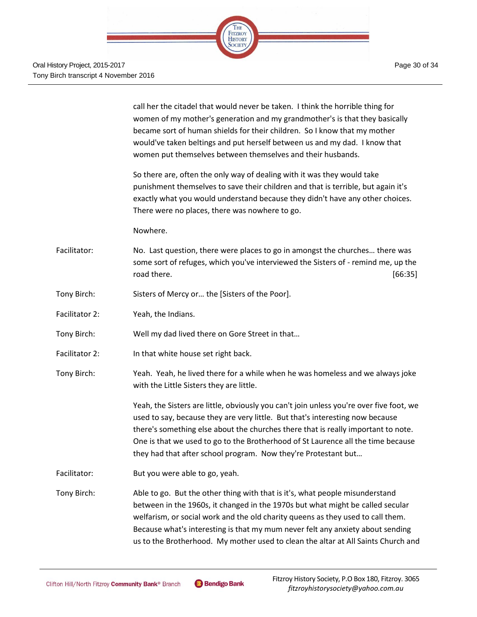

|                | call her the citadel that would never be taken. I think the horrible thing for<br>women of my mother's generation and my grandmother's is that they basically<br>became sort of human shields for their children. So I know that my mother<br>would've taken beltings and put herself between us and my dad. I know that<br>women put themselves between themselves and their husbands.                                  |
|----------------|--------------------------------------------------------------------------------------------------------------------------------------------------------------------------------------------------------------------------------------------------------------------------------------------------------------------------------------------------------------------------------------------------------------------------|
|                | So there are, often the only way of dealing with it was they would take<br>punishment themselves to save their children and that is terrible, but again it's<br>exactly what you would understand because they didn't have any other choices.<br>There were no places, there was nowhere to go.                                                                                                                          |
|                | Nowhere.                                                                                                                                                                                                                                                                                                                                                                                                                 |
| Facilitator:   | No. Last question, there were places to go in amongst the churches there was<br>some sort of refuges, which you've interviewed the Sisters of - remind me, up the<br>road there.<br>[66:35]                                                                                                                                                                                                                              |
| Tony Birch:    | Sisters of Mercy or the [Sisters of the Poor].                                                                                                                                                                                                                                                                                                                                                                           |
| Facilitator 2: | Yeah, the Indians.                                                                                                                                                                                                                                                                                                                                                                                                       |
| Tony Birch:    | Well my dad lived there on Gore Street in that                                                                                                                                                                                                                                                                                                                                                                           |
| Facilitator 2: | In that white house set right back.                                                                                                                                                                                                                                                                                                                                                                                      |
| Tony Birch:    | Yeah. Yeah, he lived there for a while when he was homeless and we always joke<br>with the Little Sisters they are little.                                                                                                                                                                                                                                                                                               |
|                | Yeah, the Sisters are little, obviously you can't join unless you're over five foot, we<br>used to say, because they are very little. But that's interesting now because<br>there's something else about the churches there that is really important to note.<br>One is that we used to go to the Brotherhood of St Laurence all the time because<br>they had that after school program. Now they're Protestant but      |
| Facilitator:   | But you were able to go, yeah.                                                                                                                                                                                                                                                                                                                                                                                           |
| Tony Birch:    | Able to go. But the other thing with that is it's, what people misunderstand<br>between in the 1960s, it changed in the 1970s but what might be called secular<br>welfarism, or social work and the old charity queens as they used to call them.<br>Because what's interesting is that my mum never felt any anxiety about sending<br>us to the Brotherhood. My mother used to clean the altar at All Saints Church and |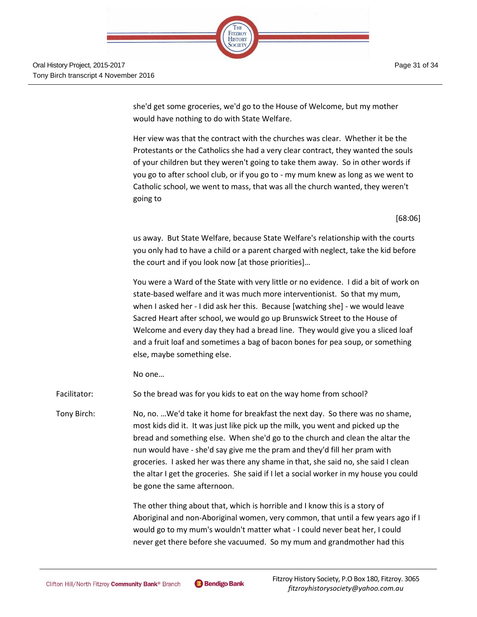

she'd get some groceries, we'd go to the House of Welcome, but my mother would have nothing to do with State Welfare.

THE FITZROY **HISTORY** SOCIETY

Her view was that the contract with the churches was clear. Whether it be the Protestants or the Catholics she had a very clear contract, they wanted the souls of your children but they weren't going to take them away. So in other words if you go to after school club, or if you go to - my mum knew as long as we went to Catholic school, we went to mass, that was all the church wanted, they weren't going to

[68:06]

us away. But State Welfare, because State Welfare's relationship with the courts you only had to have a child or a parent charged with neglect, take the kid before the court and if you look now [at those priorities]…

You were a Ward of the State with very little or no evidence. I did a bit of work on state-based welfare and it was much more interventionist. So that my mum, when I asked her - I did ask her this. Because [watching she] - we would leave Sacred Heart after school, we would go up Brunswick Street to the House of Welcome and every day they had a bread line. They would give you a sliced loaf and a fruit loaf and sometimes a bag of bacon bones for pea soup, or something else, maybe something else.

No one…

Facilitator: So the bread was for you kids to eat on the way home from school?

Tony Birch: No, no. …We'd take it home for breakfast the next day. So there was no shame, most kids did it. It was just like pick up the milk, you went and picked up the bread and something else. When she'd go to the church and clean the altar the nun would have - she'd say give me the pram and they'd fill her pram with groceries. I asked her was there any shame in that, she said no, she said I clean the altar I get the groceries. She said if I let a social worker in my house you could be gone the same afternoon.

> The other thing about that, which is horrible and I know this is a story of Aboriginal and non-Aboriginal women, very common, that until a few years ago if I would go to my mum's wouldn't matter what - I could never beat her, I could never get there before she vacuumed. So my mum and grandmother had this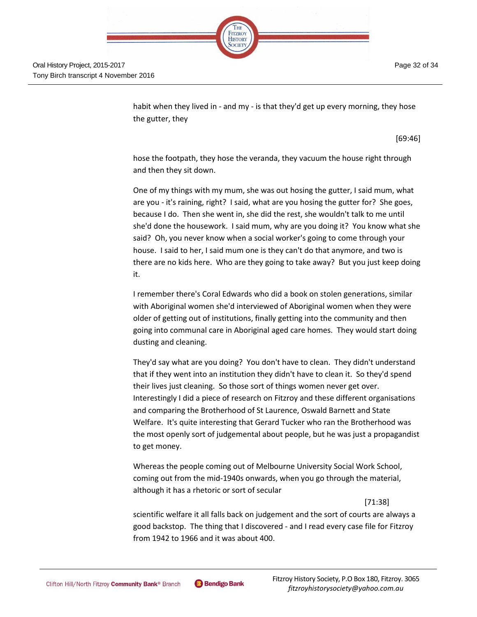

habit when they lived in - and my - is that they'd get up every morning, they hose the gutter, they

[69:46]

hose the footpath, they hose the veranda, they vacuum the house right through and then they sit down.

One of my things with my mum, she was out hosing the gutter, I said mum, what are you - it's raining, right? I said, what are you hosing the gutter for? She goes, because I do. Then she went in, she did the rest, she wouldn't talk to me until she'd done the housework. I said mum, why are you doing it? You know what she said? Oh, you never know when a social worker's going to come through your house. I said to her, I said mum one is they can't do that anymore, and two is there are no kids here. Who are they going to take away? But you just keep doing it.

I remember there's Coral Edwards who did a book on stolen generations, similar with Aboriginal women she'd interviewed of Aboriginal women when they were older of getting out of institutions, finally getting into the community and then going into communal care in Aboriginal aged care homes. They would start doing dusting and cleaning.

They'd say what are you doing? You don't have to clean. They didn't understand that if they went into an institution they didn't have to clean it. So they'd spend their lives just cleaning. So those sort of things women never get over. Interestingly I did a piece of research on Fitzroy and these different organisations and comparing the Brotherhood of St Laurence, Oswald Barnett and State Welfare. It's quite interesting that Gerard Tucker who ran the Brotherhood was the most openly sort of judgemental about people, but he was just a propagandist to get money.

Whereas the people coming out of Melbourne University Social Work School, coming out from the mid-1940s onwards, when you go through the material, although it has a rhetoric or sort of secular

[71:38]

scientific welfare it all falls back on judgement and the sort of courts are always a good backstop. The thing that I discovered - and I read every case file for Fitzroy from 1942 to 1966 and it was about 400.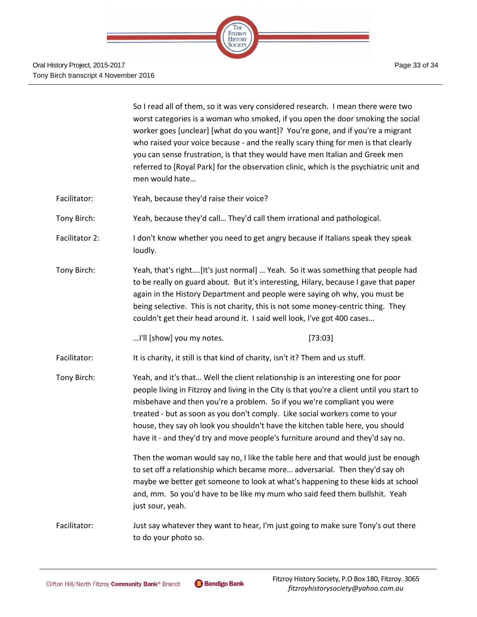

|                | So I read all of them, so it was very considered research. I mean there were two<br>worst categories is a woman who smoked, if you open the door smoking the social<br>worker goes [unclear] [what do you want]? You're gone, and if you're a migrant<br>who raised your voice because - and the really scary thing for men is that clearly<br>you can sense frustration, is that they would have men Italian and Greek men<br>referred to [Royal Park] for the observation clinic, which is the psychiatric unit and<br>men would hate |  |  |  |
|----------------|-----------------------------------------------------------------------------------------------------------------------------------------------------------------------------------------------------------------------------------------------------------------------------------------------------------------------------------------------------------------------------------------------------------------------------------------------------------------------------------------------------------------------------------------|--|--|--|
| Facilitator:   | Yeah, because they'd raise their voice?                                                                                                                                                                                                                                                                                                                                                                                                                                                                                                 |  |  |  |
| Tony Birch:    | Yeah, because they'd call They'd call them irrational and pathological.                                                                                                                                                                                                                                                                                                                                                                                                                                                                 |  |  |  |
| Facilitator 2: | I don't know whether you need to get angry because if Italians speak they speak<br>loudly.                                                                                                                                                                                                                                                                                                                                                                                                                                              |  |  |  |
| Tony Birch:    | Yeah, that's right[It's just normal]  Yeah. So it was something that people had<br>to be really on guard about. But it's interesting, Hilary, because I gave that paper<br>again in the History Department and people were saying oh why, you must be<br>being selective. This is not charity, this is not some money-centric thing. They<br>couldn't get their head around it. I said well look, I've got 400 cases                                                                                                                    |  |  |  |
|                | I'll [show] you my notes.<br>[73:03]                                                                                                                                                                                                                                                                                                                                                                                                                                                                                                    |  |  |  |
| Facilitator:   | It is charity, it still is that kind of charity, isn't it? Them and us stuff.                                                                                                                                                                                                                                                                                                                                                                                                                                                           |  |  |  |
| Tony Birch:    | Yeah, and it's that Well the client relationship is an interesting one for poor<br>people living in Fitzroy and living in the City is that you're a client until you start to<br>misbehave and then you're a problem. So if you we're compliant you were<br>treated - but as soon as you don't comply. Like social workers come to your<br>house, they say oh look you shouldn't have the kitchen table here, you should<br>have it - and they'd try and move people's furniture around and they'd say no.                              |  |  |  |
|                | Then the woman would say no, I like the table here and that would just be enough<br>to set off a relationship which became more adversarial. Then they'd say oh<br>maybe we better get someone to look at what's happening to these kids at school<br>and, mm. So you'd have to be like my mum who said feed them bullshit. Yeah<br>just sour, yeah.                                                                                                                                                                                    |  |  |  |
| Facilitator:   | Just say whatever they want to hear, I'm just going to make sure Tony's out there<br>to do your photo so.                                                                                                                                                                                                                                                                                                                                                                                                                               |  |  |  |